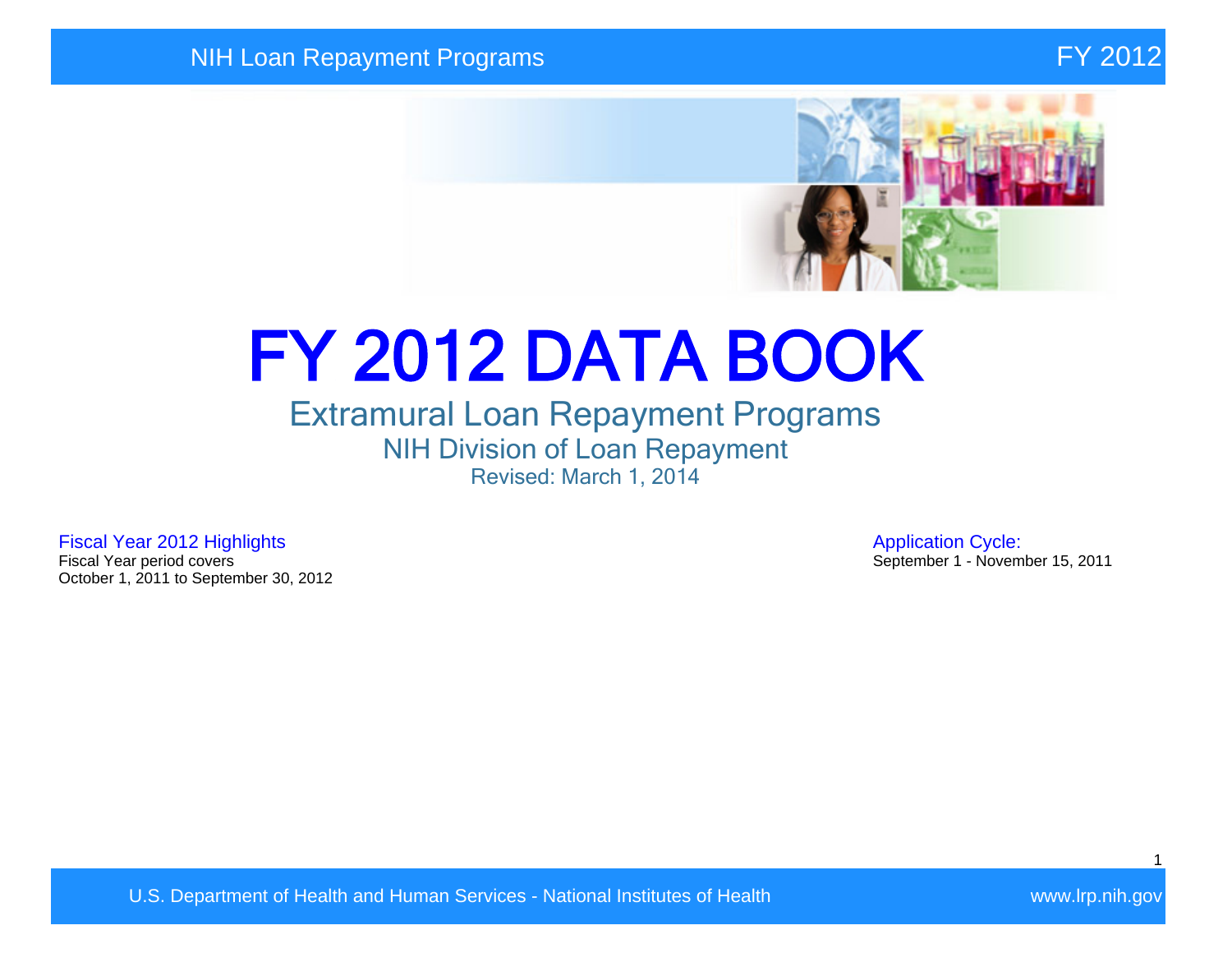

# FY 2012 DATA BOOK

## Extramural Loan Repayment Programs NIH Division of Loan Repayment Revised: March 1, 2014

Fiscal Year 2012 Highlights **Application Cycle:**<br>Fiscal Year period covers **Application Cycle:**<br>September 1 - Novem October 1, 2011 to September 30, 2012

September 1 - November 15, 2011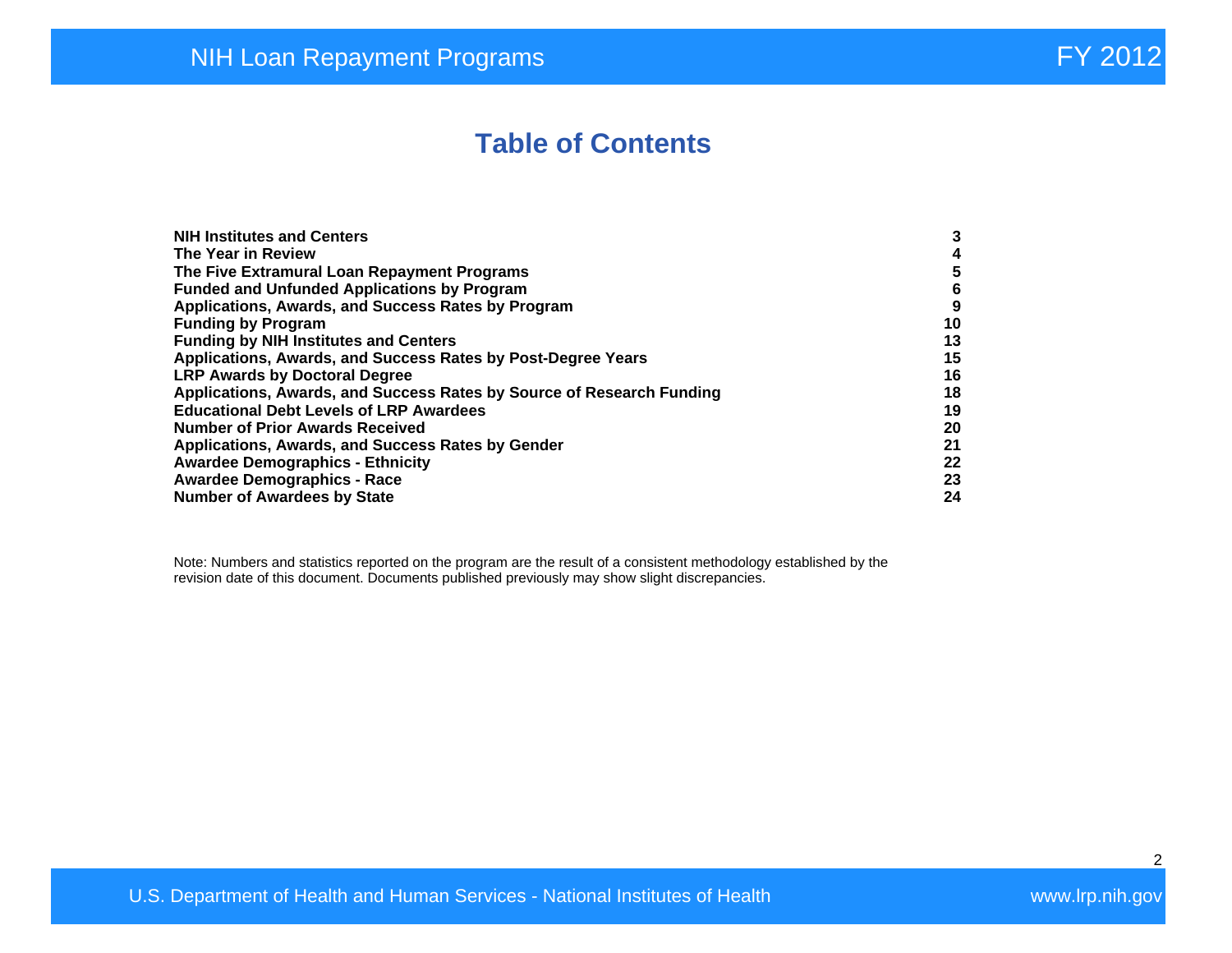## **Table of Contents**

| <b>NIH Institutes and Centers</b>                                     | 3  |
|-----------------------------------------------------------------------|----|
| The Year in Review                                                    | 4  |
| The Five Extramural Loan Repayment Programs                           | 5  |
| <b>Funded and Unfunded Applications by Program</b>                    | 6  |
| Applications, Awards, and Success Rates by Program                    | 9  |
| <b>Funding by Program</b>                                             | 10 |
| <b>Funding by NIH Institutes and Centers</b>                          | 13 |
| Applications, Awards, and Success Rates by Post-Degree Years          | 15 |
| <b>LRP Awards by Doctoral Degree</b>                                  | 16 |
| Applications, Awards, and Success Rates by Source of Research Funding | 18 |
| <b>Educational Debt Levels of LRP Awardees</b>                        | 19 |
| <b>Number of Prior Awards Received</b>                                | 20 |
| Applications, Awards, and Success Rates by Gender                     | 21 |
| <b>Awardee Demographics - Ethnicity</b>                               | 22 |
| <b>Awardee Demographics - Race</b>                                    | 23 |
| <b>Number of Awardees by State</b>                                    | 24 |

Note: Numbers and statistics reported on the program are the result of a consistent methodology established by the revision date of this document. Documents published previously may show slight discrepancies.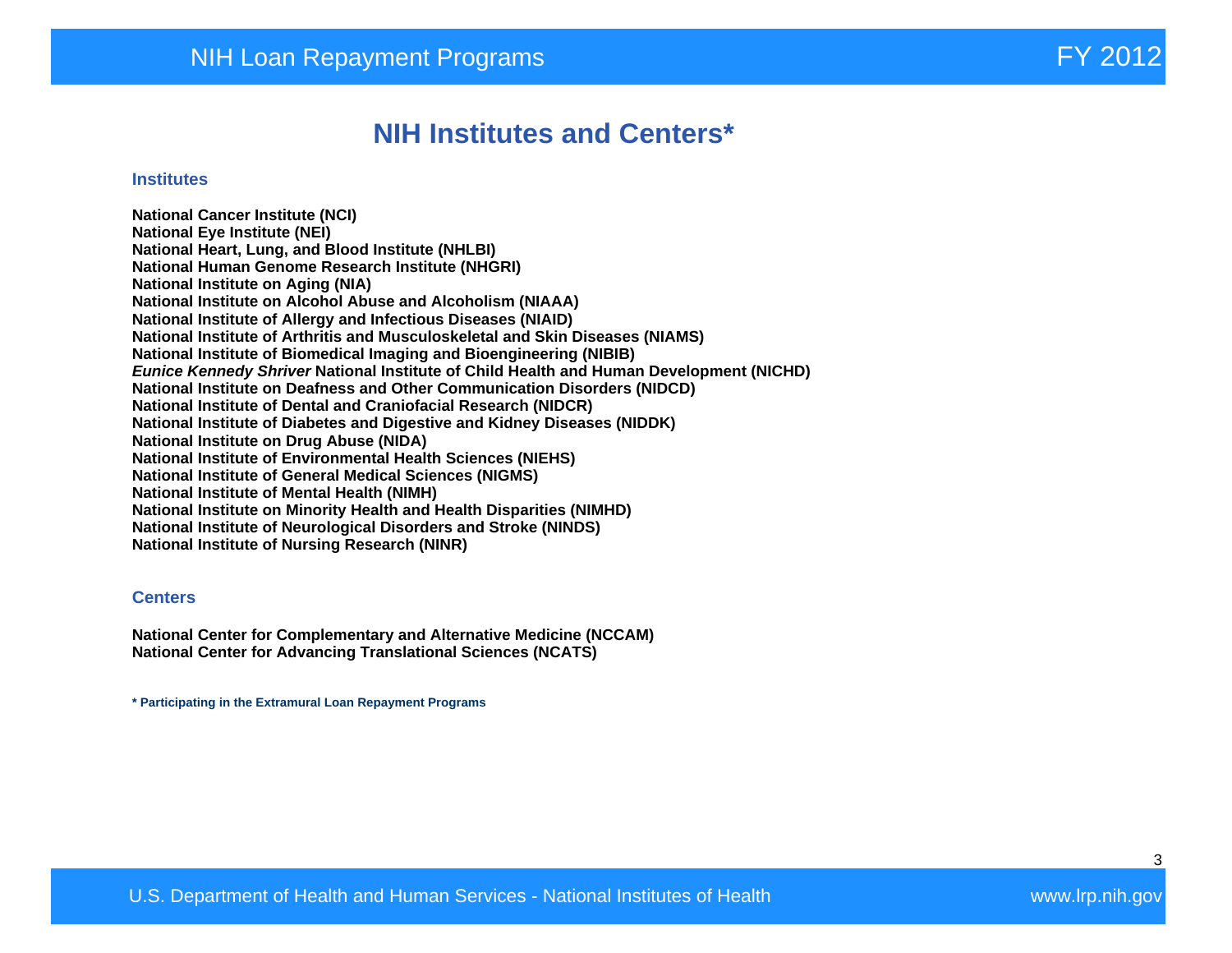## **NIH Institutes and Centers\***

#### **Institutes**

**National Cancer Institute (NCI) National Eye Institute (NEI) National Heart, Lung, and Blood Institute (NHLBI) National Human Genome Research Institute (NHGRI) National Institute on Aging (NIA) National Institute on Alcohol Abuse and Alcoholism (NIAAA) National Institute of Allergy and Infectious Diseases (NIAID) National Institute of Arthritis and Musculoskeletal and Skin Diseases (NIAMS) National Institute of Biomedical Imaging and Bioengineering (NIBIB) Eunice Kennedy Shriver National Institute of Child Health and Human Development (NICHD) National Institute on Deafness and Other Communication Disorders (NIDCD) National Institute of Dental and Craniofacial Research (NIDCR) National Institute of Diabetes and Digestive and Kidney Diseases (NIDDK) National Institute on Drug Abuse (NIDA) National Institute of Environmental Health Sciences (NIEHS) National Institute of General Medical Sciences (NIGMS) National Institute of Mental Health (NIMH) National Institute on Minority Health and Health Disparities (NIMHD) National Institute of Neurological Disorders and Stroke (NINDS) National Institute of Nursing Research (NINR)** 

#### **Centers**

**National Center for Complementary and Alternative Medicine (NCCAM) National Center for Advancing Translational Sciences (NCATS)** 

**\* Participating in the Extramural Loan Repayment Programs**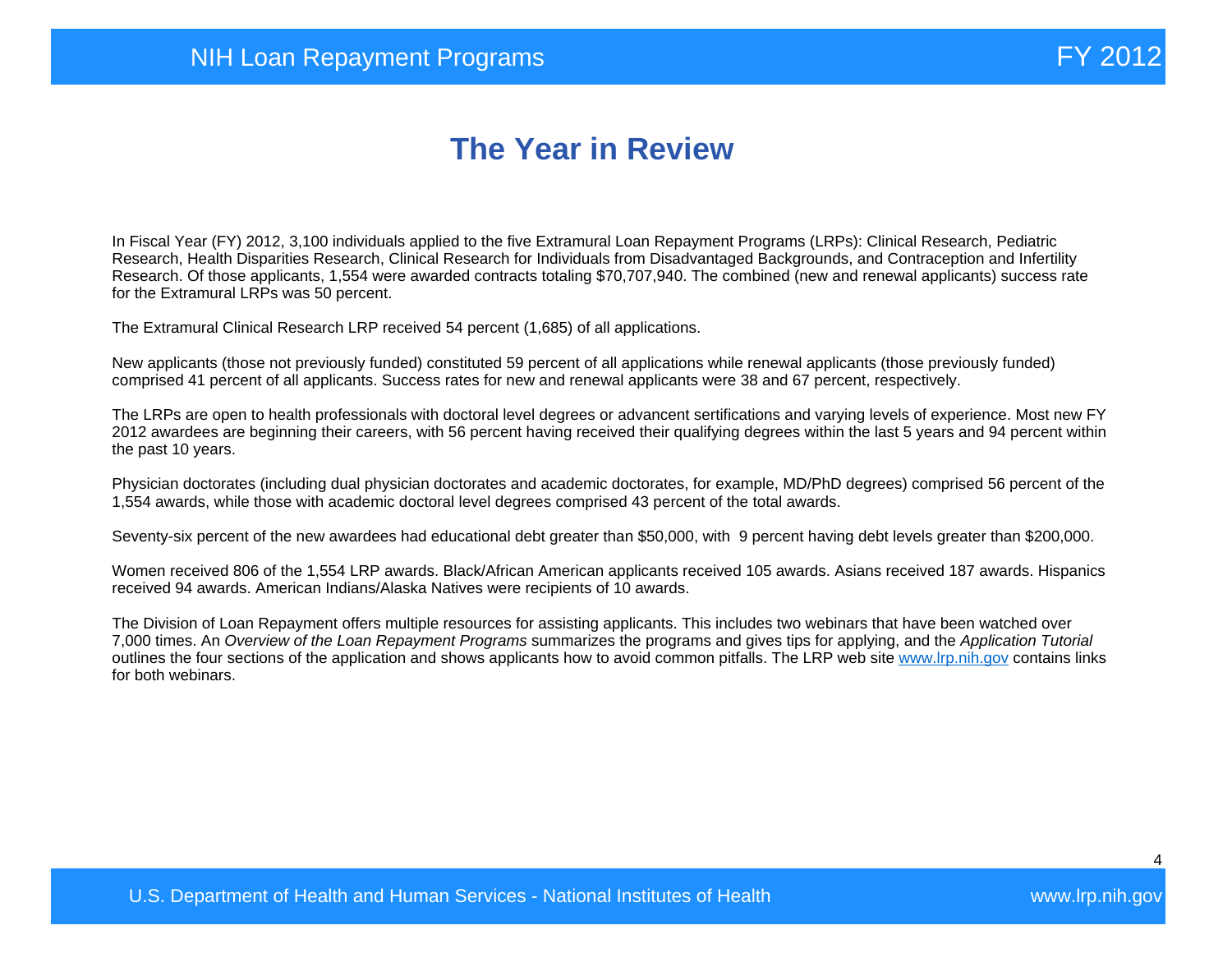# **The Year in Review**

In Fiscal Year (FY) 2012, 3,100 individuals applied to the five Extramural Loan Repayment Programs (LRPs): Clinical Research, Pediatric Research, Health Disparities Research, Clinical Research for Individuals from Disadvantaged Backgrounds, and Contraception and Infertility Research. Of those applicants, 1,554 were awarded contracts totaling \$70,707,940. The combined (new and renewal applicants) success rate for the Extramural LRPs was 50 percent.

The Extramural Clinical Research LRP received 54 percent (1,685) of all applications.

New applicants (those not previously funded) constituted 59 percent of all applications while renewal applicants (those previously funded) comprised 41 percent of all applicants. Success rates for new and renewal applicants were 38 and 67 percent, respectively.

The LRPs are open to health professionals with doctoral level degrees or advancent sertifications and varying levels of experience. Most new FY 2012 awardees are beginning their careers, with 56 percent having received their qualifying degrees within the last 5 years and 94 percent within the past 10 years.

Physician doctorates (including dual physician doctorates and academic doctorates, for example, MD/PhD degrees) comprised 56 percent of the 1,554 awards, while those with academic doctoral level degrees comprised 43 percent of the total awards.

Seventy-six percent of the new awardees had educational debt greater than \$50,000, with 9 percent having debt levels greater than \$200,000.

Women received 806 of the 1,554 LRP awards. Black/African American applicants received 105 awards. Asians received 187 awards. Hispanics received 94 awards. American Indians/Alaska Natives were recipients of 10 awards.

The Division of Loan Repayment offers multiple resources for assisting applicants. This includes two webinars that have been watched over 7,000 times. An Overview of the Loan Repayment Programs summarizes the programs and gives tips for applying, and the Application Tutorial outlines the four sections of the application and shows applicants how to avoid common pitfalls. The LRP web site [www.lrp.nih.gov](http://www.lrp.nih.gov/) contains links for both webinars.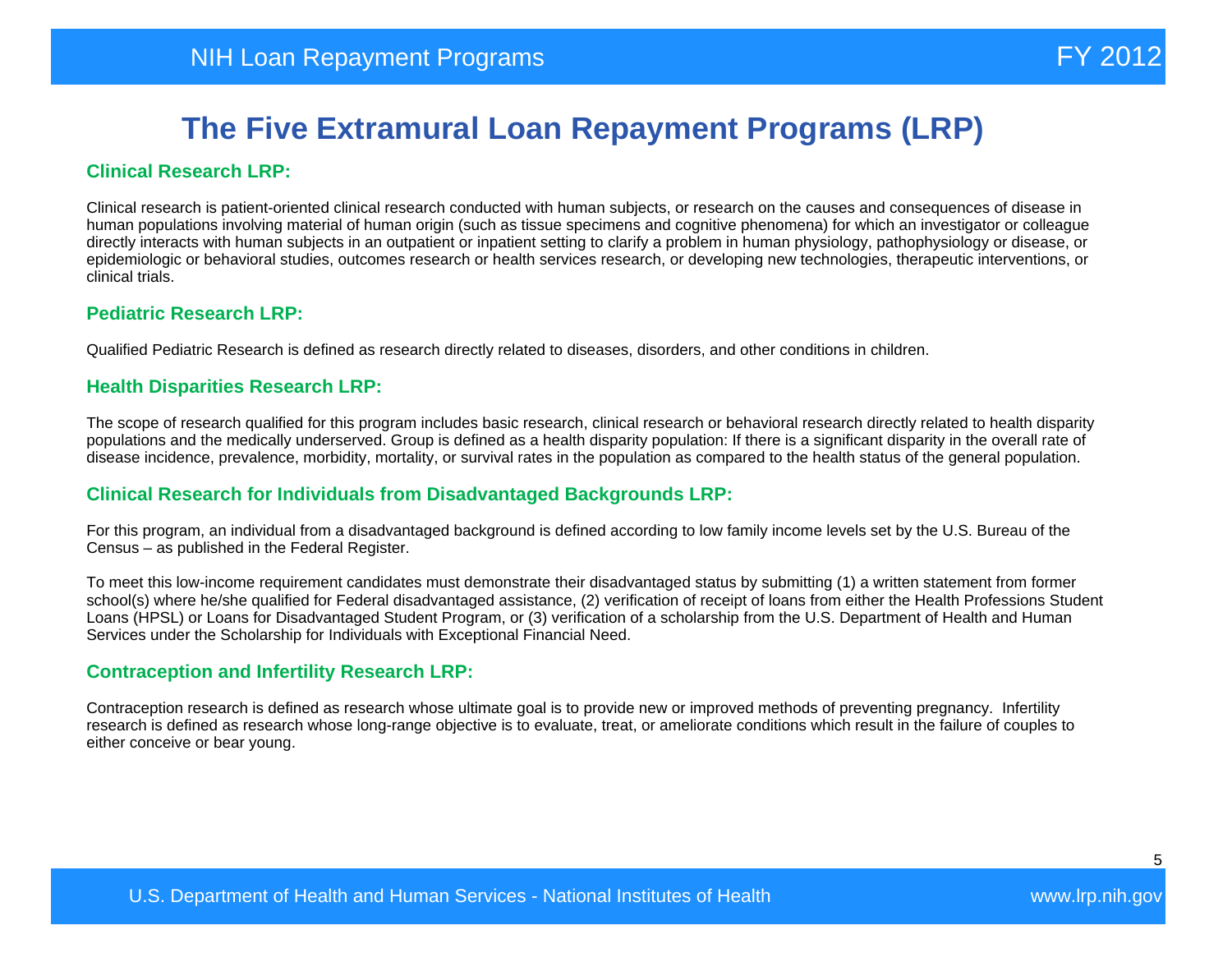#### **Clinical Research LRP:**

Clinical research is patient-oriented clinical research conducted with human subjects, or research on the causes and consequences of disease in human populations involving material of human origin (such as tissue specimens and cognitive phenomena) for which an investigator or colleague directly interacts with human subjects in an outpatient or inpatient setting to clarify a problem in human physiology, pathophysiology or disease, or epidemiologic or behavioral studies, outcomes research or health services research, or developing new technologies, therapeutic interventions, or clinical trials.

#### **Pediatric Research LRP:**

Qualified Pediatric Research is defined as research directly related to diseases, disorders, and other conditions in children.

#### **Health Disparities Research LRP:**

The scope of research qualified for this program includes basic research, clinical research or behavioral research directly related to health disparity populations and the medically underserved. Group is defined as a health disparity population: If there is a significant disparity in the overall rate of disease incidence, prevalence, morbidity, mortality, or survival rates in the population as compared to the health status of the general population.

#### **Clinical Research for Individuals from Disadvantaged Backgrounds LRP:**

For this program, an individual from a disadvantaged background is defined according to low family income levels set by the U.S. Bureau of the Census – as published in the Federal Register.

To meet this low-income requirement candidates must demonstrate their disadvantaged status by submitting (1) a written statement from former school(s) where he/she qualified for Federal disadvantaged assistance, (2) verification of receipt of loans from either the Health Professions Student Loans (HPSL) or Loans for Disadvantaged Student Program, or (3) verification of a scholarship from the U.S. Department of Health and Human Services under the Scholarship for Individuals with Exceptional Financial Need.

#### **Contraception and Infertility Research LRP:**

Contraception research is defined as research whose ultimate goal is to provide new or improved methods of preventing pregnancy. Infertility research is defined as research whose long-range objective is to evaluate, treat, or ameliorate conditions which result in the failure of couples to either conceive or bear young.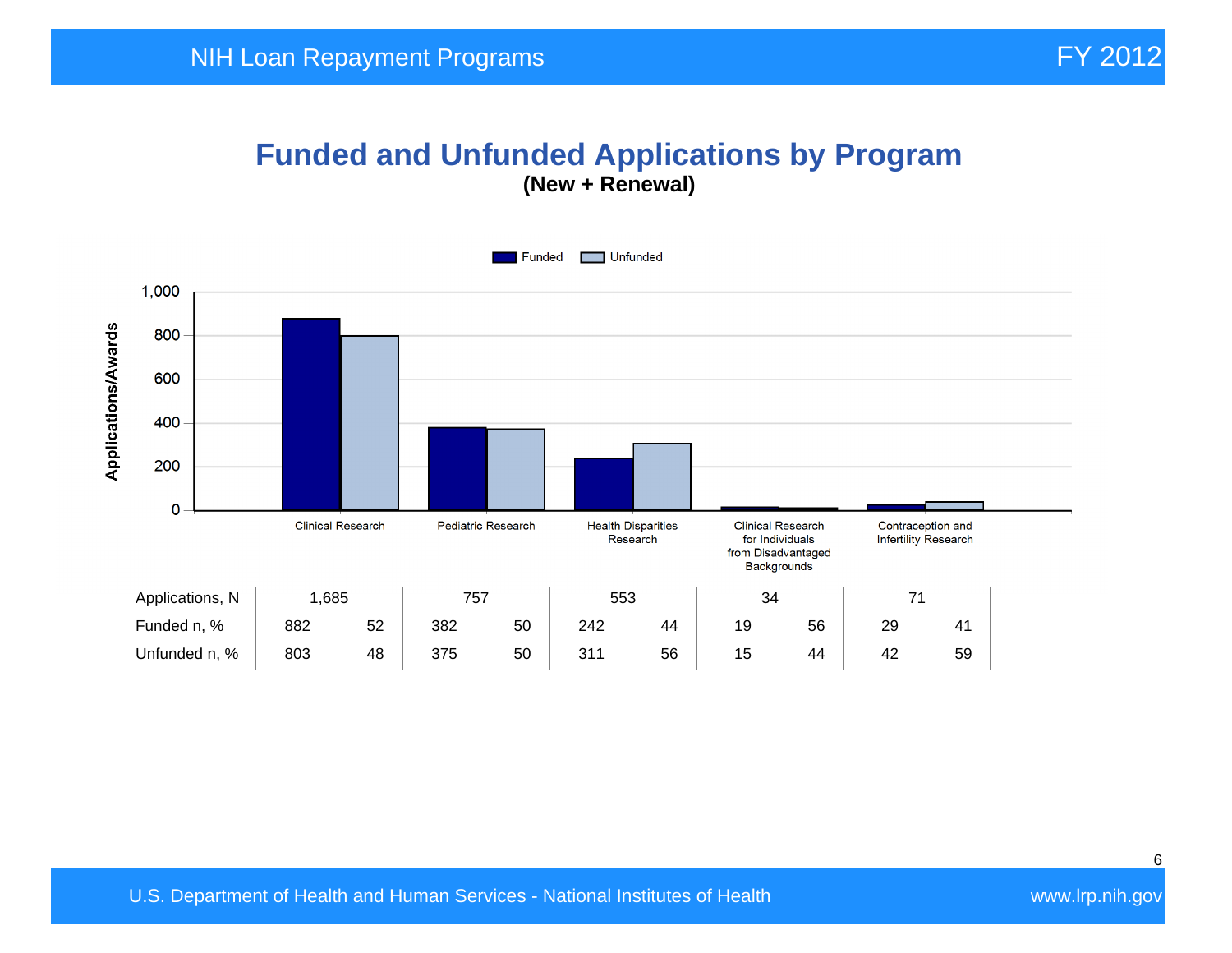### **Funded and Unfunded Applications by Program (New + Renewal)**

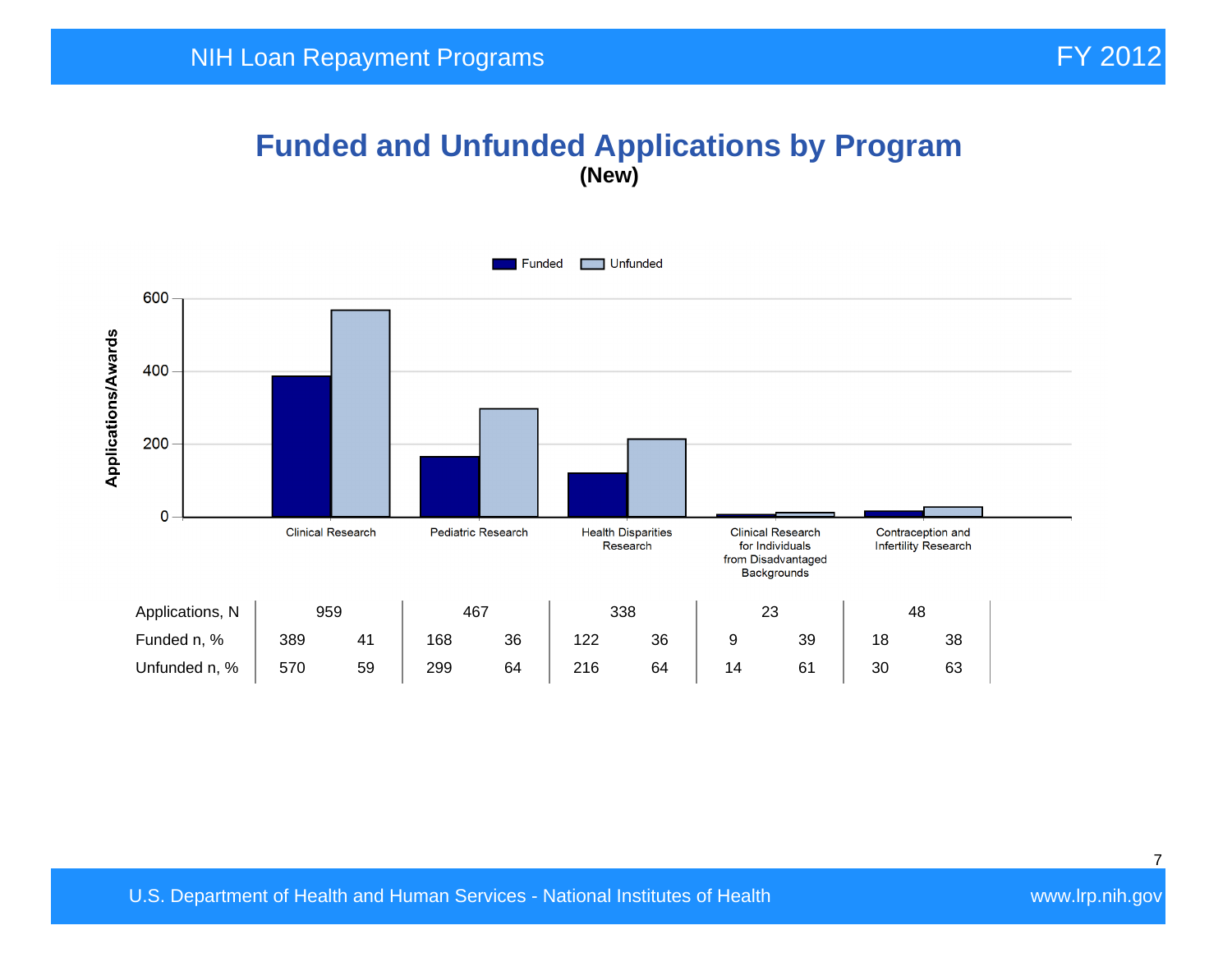## **Funded and Unfunded Applications by Program (New)**

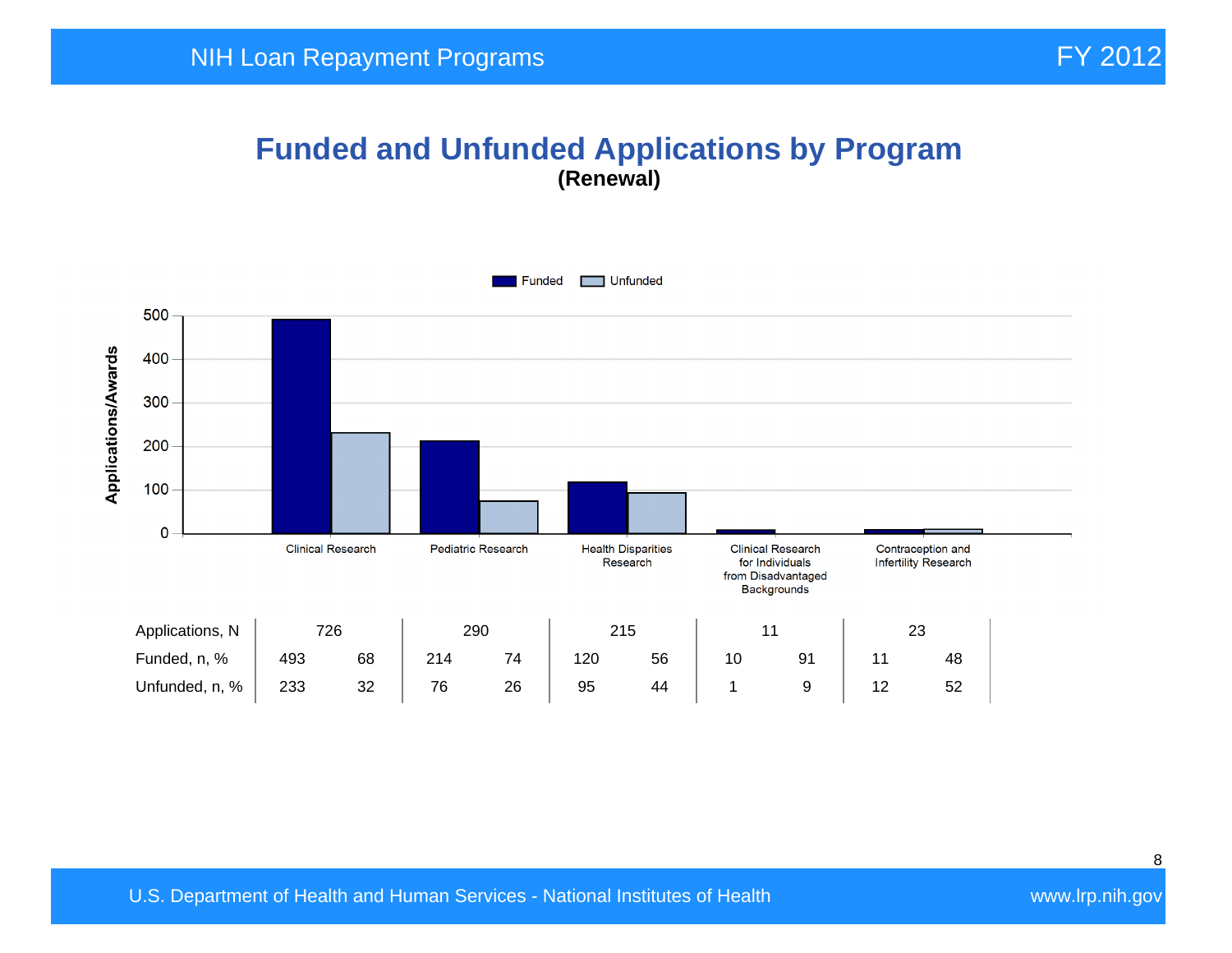#### **Funded and Unfunded Applications by Program (Renewal)**

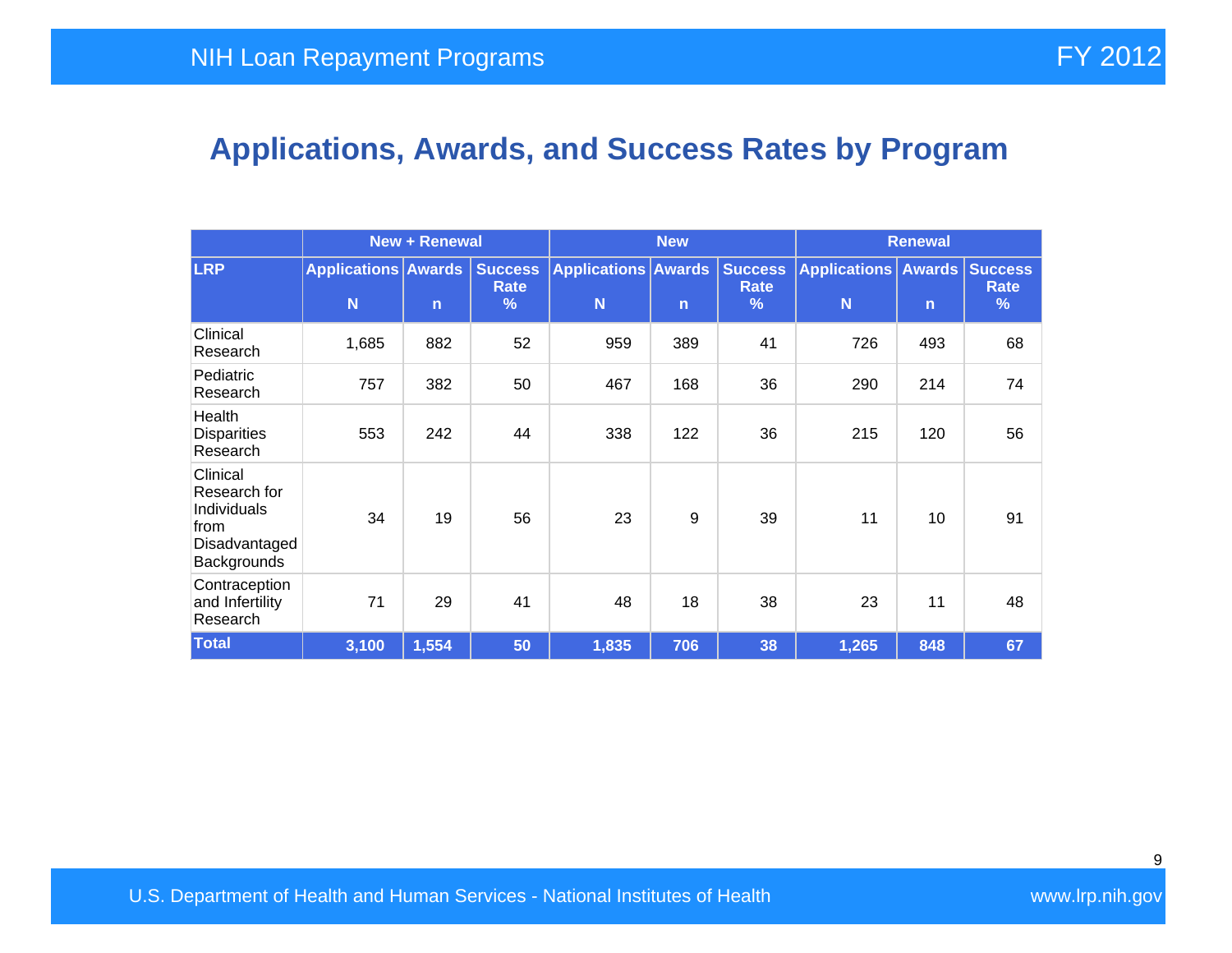# **Applications, Awards, and Success Rates by Program**

|                                                                                 | <b>New + Renewal</b>            |              |                                         | <b>New</b>                      |              |                                         | <b>Renewal</b>                     |              |                                    |
|---------------------------------------------------------------------------------|---------------------------------|--------------|-----------------------------------------|---------------------------------|--------------|-----------------------------------------|------------------------------------|--------------|------------------------------------|
| <b>LRP</b>                                                                      | <b>Applications Awards</b><br>N | $\mathsf{n}$ | <b>Success</b><br>Rate<br>$\frac{9}{6}$ | <b>Applications Awards</b><br>N | $\mathsf{n}$ | <b>Success</b><br>Rate<br>$\frac{9}{6}$ | <b>Applications</b><br>$\mathbf N$ | $\mathsf{n}$ | <b>Awards Success</b><br>Rate<br>% |
| Clinical<br>Research                                                            | 1,685                           | 882          | 52                                      | 959                             | 389          | 41                                      | 726                                | 493          | 68                                 |
| Pediatric<br>Research                                                           | 757                             | 382          | 50                                      | 467                             | 168          | 36                                      | 290                                | 214          | 74                                 |
| Health<br><b>Disparities</b><br>Research                                        | 553                             | 242          | 44                                      | 338                             | 122          | 36                                      | 215                                | 120          | 56                                 |
| Clinical<br>Research for<br>Individuals<br>from<br>Disadvantaged<br>Backgrounds | 34                              | 19           | 56                                      | 23                              | 9            | 39                                      | 11                                 | 10           | 91                                 |
| Contraception<br>and Infertility<br>Research                                    | 71                              | 29           | 41                                      | 48                              | 18           | 38                                      | 23                                 | 11           | 48                                 |
| <b>Total</b>                                                                    | 3,100                           | 1,554        | 50                                      | 1,835                           | 706          | 38                                      | 1,265                              | 848          | 67                                 |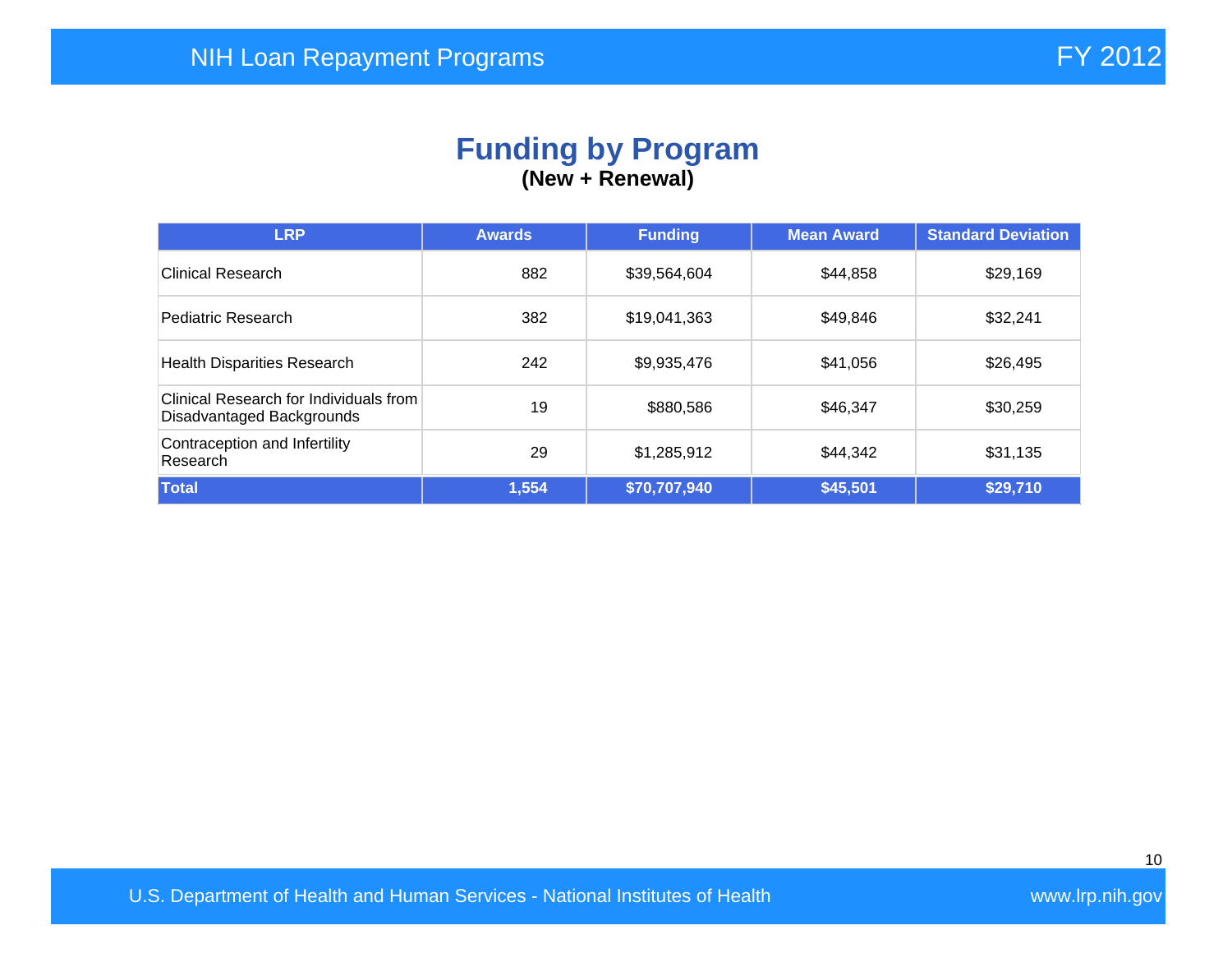#### **Funding by Program (New + Renewal)**

| <b>LRP</b>                                                          | <b>Awards</b> | <b>Funding</b> | <b>Mean Award</b> | <b>Standard Deviation</b> |
|---------------------------------------------------------------------|---------------|----------------|-------------------|---------------------------|
| <b>Clinical Research</b>                                            | 882           | \$39,564,604   | \$44,858          | \$29,169                  |
| Pediatric Research                                                  | 382           | \$19,041,363   | \$49,846          | \$32,241                  |
| <b>Health Disparities Research</b>                                  | 242           | \$9,935,476    | \$41,056          | \$26,495                  |
| Clinical Research for Individuals from<br>Disadvantaged Backgrounds | 19            | \$880,586      | \$46,347          | \$30,259                  |
| Contraception and Infertility<br>Research                           | 29            | \$1,285,912    | \$44,342          | \$31,135                  |
| Total                                                               | 1,554         | \$70,707,940   | \$45,501          | \$29,710                  |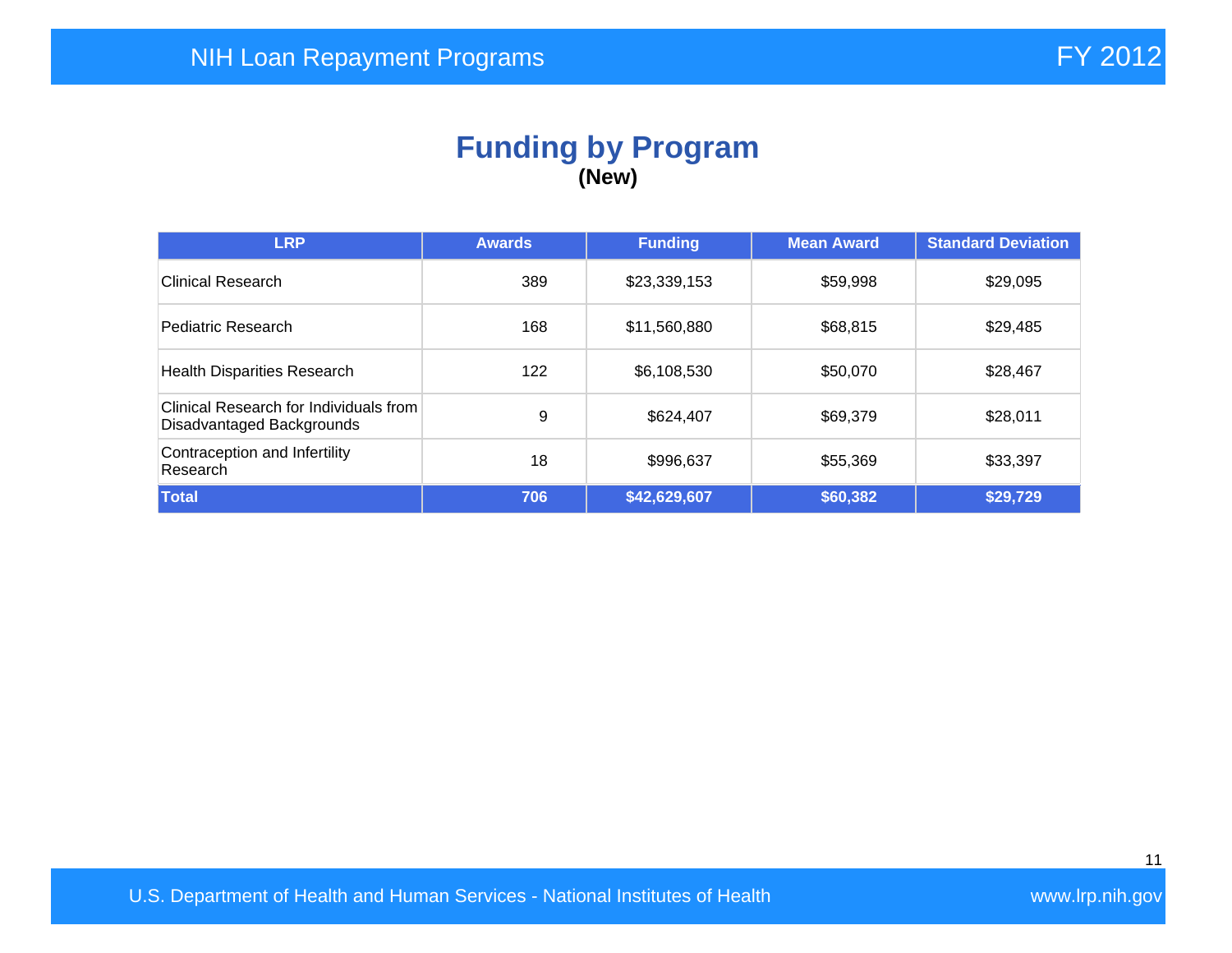#### **Funding by Program (New)**

| <b>LRP</b>                                                          | <b>Awards</b> | <b>Funding</b> | <b>Mean Award</b> | <b>Standard Deviation</b> |
|---------------------------------------------------------------------|---------------|----------------|-------------------|---------------------------|
| <b>Clinical Research</b>                                            | 389           | \$23,339,153   | \$59,998          | \$29,095                  |
| Pediatric Research                                                  | 168           | \$11,560,880   | \$68,815          | \$29,485                  |
| <b>Health Disparities Research</b>                                  | 122           | \$6,108,530    | \$50,070          | \$28,467                  |
| Clinical Research for Individuals from<br>Disadvantaged Backgrounds | 9             | \$624,407      | \$69,379          | \$28,011                  |
| Contraception and Infertility<br>Research                           | 18            | \$996,637      | \$55,369          | \$33,397                  |
| Total                                                               | 706           | \$42,629,607   | \$60,382          | \$29,729                  |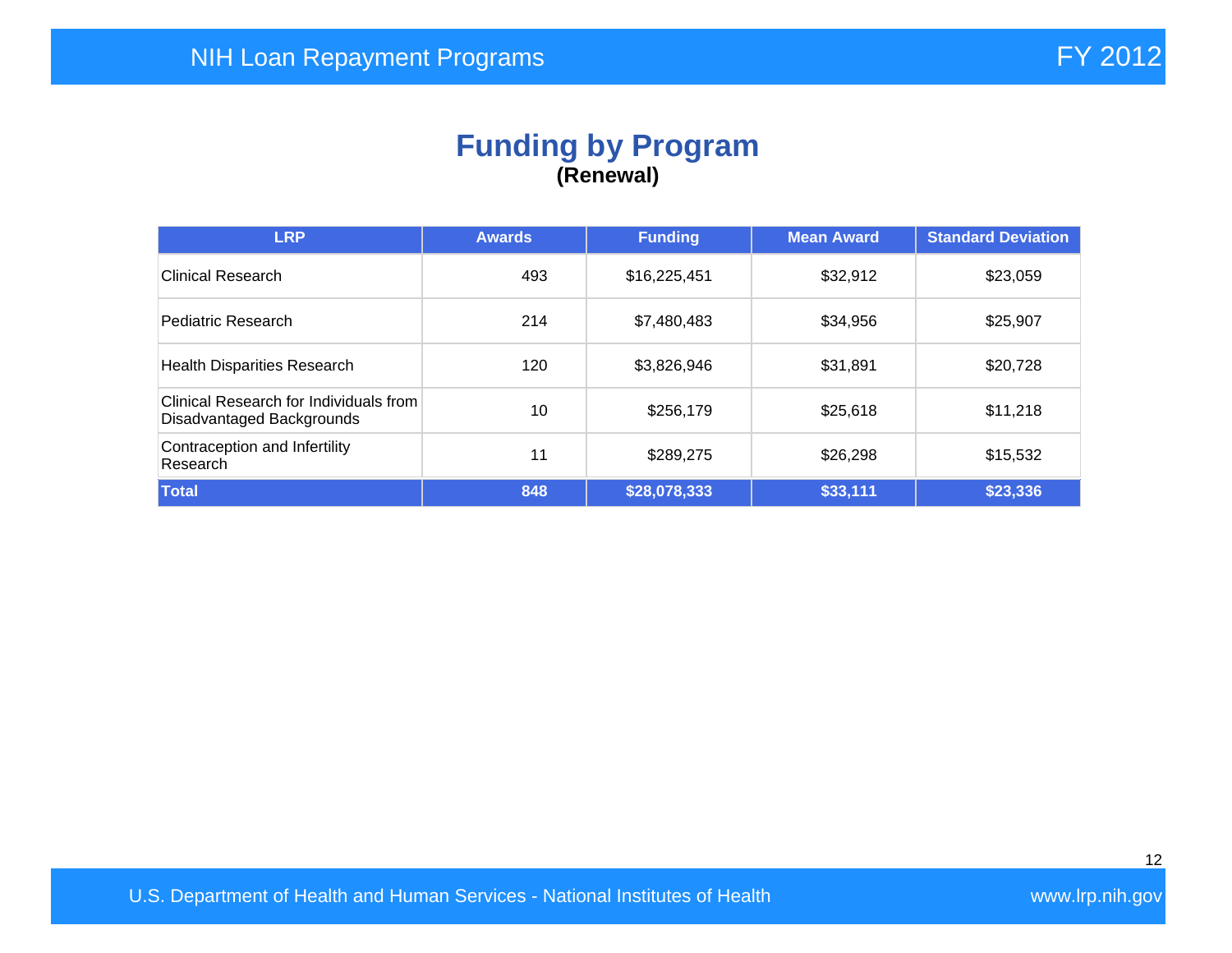### **Funding by Program (Renewal)**

| <b>LRP</b>                                                          | <b>Awards</b> | <b>Funding</b> | <b>Mean Award</b> | <b>Standard Deviation</b> |
|---------------------------------------------------------------------|---------------|----------------|-------------------|---------------------------|
| Clinical Research                                                   | 493           | \$16,225,451   | \$32,912          | \$23,059                  |
| Pediatric Research                                                  | 214           | \$7,480,483    | \$34,956          | \$25,907                  |
| <b>Health Disparities Research</b>                                  | 120           | \$3,826,946    | \$31,891          | \$20,728                  |
| Clinical Research for Individuals from<br>Disadvantaged Backgrounds | 10            | \$256,179      | \$25,618          | \$11,218                  |
| Contraception and Infertility<br>Research                           | 11            | \$289,275      | \$26,298          | \$15,532                  |
| Total                                                               | 848           | \$28,078,333   | \$33,111          | \$23,336                  |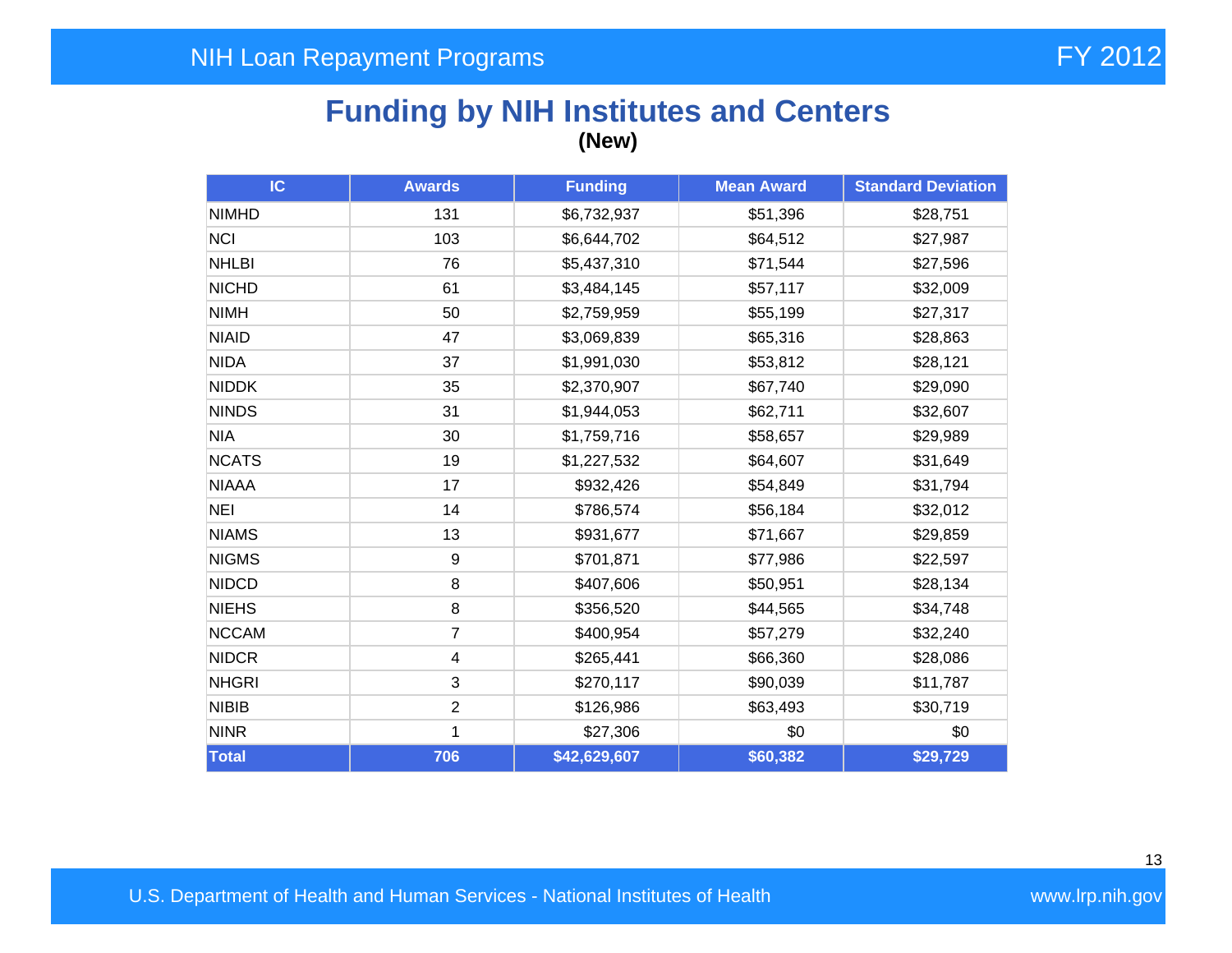## **Funding by NIH Institutes and Centers (New)**

| IC           | <b>Awards</b>           | <b>Funding</b> | <b>Mean Award</b> | <b>Standard Deviation</b> |
|--------------|-------------------------|----------------|-------------------|---------------------------|
| <b>NIMHD</b> | 131                     | \$6,732,937    | \$51,396          | \$28,751                  |
| <b>NCI</b>   | 103                     | \$6,644,702    | \$64,512          | \$27,987                  |
| <b>NHLBI</b> | 76                      | \$5,437,310    | \$71,544          | \$27,596                  |
| <b>NICHD</b> | 61                      | \$3,484,145    | \$57,117          | \$32,009                  |
| <b>NIMH</b>  | 50                      | \$2,759,959    | \$55,199          | \$27,317                  |
| <b>NIAID</b> | 47                      | \$3,069,839    | \$65,316          | \$28,863                  |
| <b>NIDA</b>  | 37                      | \$1,991,030    | \$53,812          | \$28,121                  |
| <b>NIDDK</b> | 35                      | \$2,370,907    | \$67,740          | \$29,090                  |
| <b>NINDS</b> | 31                      | \$1,944,053    | \$62,711          | \$32,607                  |
| <b>NIA</b>   | 30                      | \$1,759,716    | \$58,657          | \$29,989                  |
| <b>NCATS</b> | 19                      | \$1,227,532    | \$64,607          | \$31,649                  |
| <b>NIAAA</b> | 17                      | \$932,426      | \$54,849          | \$31,794                  |
| <b>NEI</b>   | 14                      | \$786,574      | \$56,184          | \$32,012                  |
| <b>NIAMS</b> | 13                      | \$931,677      | \$71,667          | \$29,859                  |
| <b>NIGMS</b> | 9                       | \$701,871      | \$77,986          | \$22,597                  |
| <b>NIDCD</b> | 8                       | \$407,606      | \$50,951          | \$28,134                  |
| <b>NIEHS</b> | 8                       | \$356,520      | \$44,565          | \$34,748                  |
| <b>NCCAM</b> | $\overline{7}$          | \$400,954      | \$57,279          | \$32,240                  |
| <b>NIDCR</b> | $\overline{\mathbf{4}}$ | \$265,441      | \$66,360          | \$28,086                  |
| <b>NHGRI</b> | 3                       | \$270,117      | \$90,039          | \$11,787                  |
| <b>NIBIB</b> | $\overline{2}$          | \$126,986      | \$63,493          | \$30,719                  |
| <b>NINR</b>  | 1                       | \$27,306       | \$0               | \$0                       |
| Total        | 706                     | \$42,629,607   | \$60,382          | \$29,729                  |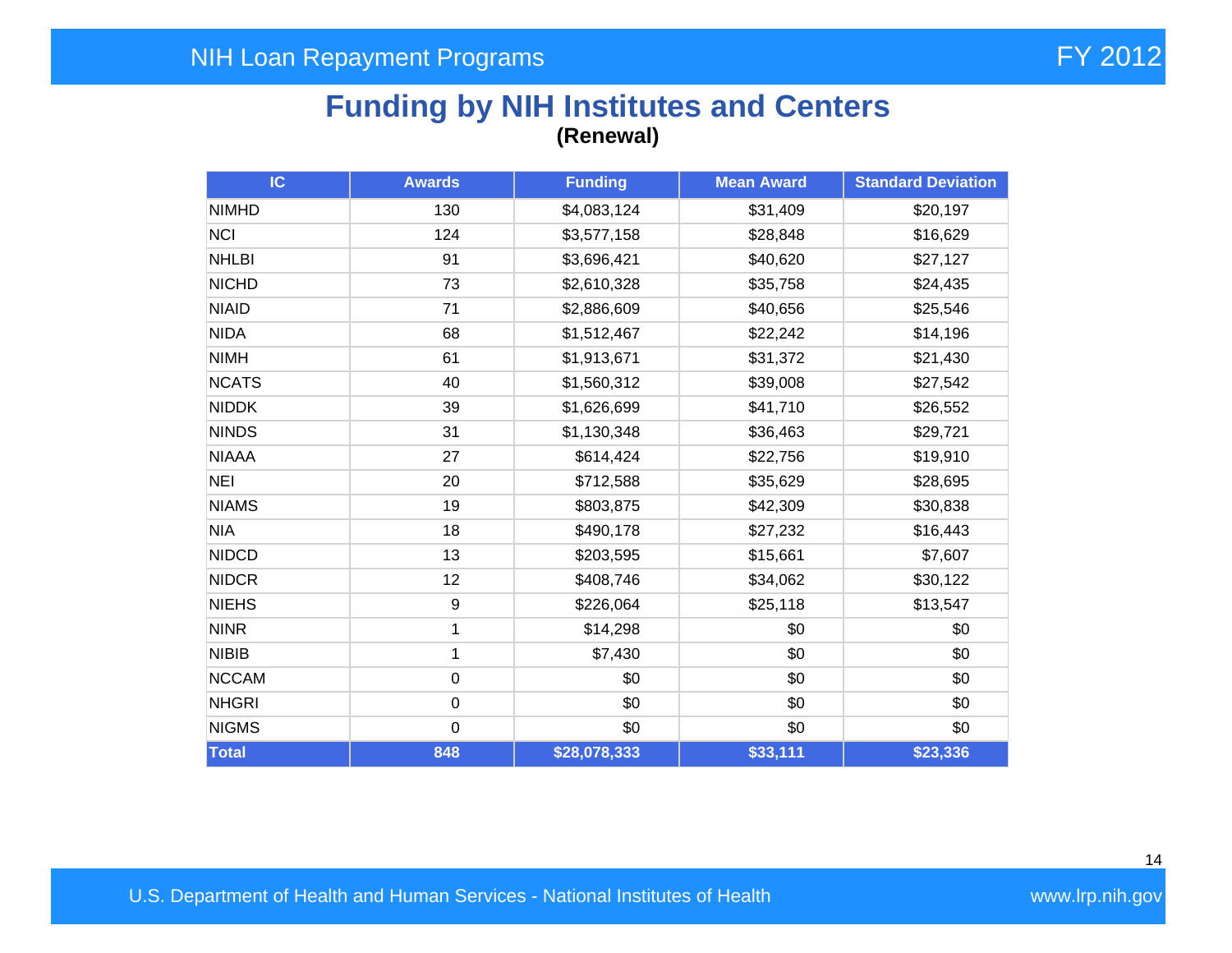## **Funding by NIH Institutes and Centers (Renewal)**

| <b>IC</b>    | <b>Awards</b>    | <b>Funding</b> | <b>Mean Award</b> | <b>Standard Deviation</b> |
|--------------|------------------|----------------|-------------------|---------------------------|
| <b>NIMHD</b> | 130              | \$4,083,124    | \$31,409          | \$20,197                  |
| <b>NCI</b>   | 124              | \$3,577,158    | \$28,848          | \$16,629                  |
| <b>NHLBI</b> | 91               | \$3,696,421    | \$40,620          | \$27,127                  |
| <b>NICHD</b> | 73               | \$2,610,328    | \$35,758          | \$24,435                  |
| <b>NIAID</b> | 71               | \$2,886,609    | \$40,656          | \$25,546                  |
| <b>NIDA</b>  | 68               | \$1,512,467    | \$22,242          | \$14,196                  |
| <b>NIMH</b>  | 61               | \$1,913,671    | \$31,372          | \$21,430                  |
| <b>NCATS</b> | 40               | \$1,560,312    | \$39,008          | \$27,542                  |
| <b>NIDDK</b> | 39               | \$1,626,699    | \$41,710          | \$26,552                  |
| <b>NINDS</b> | 31               | \$1,130,348    | \$36,463          | \$29,721                  |
| <b>NIAAA</b> | 27               | \$614,424      | \$22,756          | \$19,910                  |
| <b>NEI</b>   | 20               | \$712,588      | \$35,629          | \$28,695                  |
| <b>NIAMS</b> | 19               | \$803,875      | \$42,309          | \$30,838                  |
| <b>NIA</b>   | 18               | \$490,178      | \$27,232          | \$16,443                  |
| <b>NIDCD</b> | 13               | \$203,595      | \$15,661          | \$7,607                   |
| <b>NIDCR</b> | 12               | \$408,746      | \$34,062          | \$30,122                  |
| <b>NIEHS</b> | $\boldsymbol{9}$ | \$226,064      | \$25,118          | \$13,547                  |
| <b>NINR</b>  | 1                | \$14,298       | \$0               | \$0                       |
| <b>NIBIB</b> | 1                | \$7,430        | \$0               | \$0                       |
| <b>NCCAM</b> | $\mathbf 0$      | \$0            | \$0               | \$0                       |
| <b>NHGRI</b> | $\mathbf 0$      | \$0            | \$0               | \$0                       |
| <b>NIGMS</b> | $\pmb{0}$        | \$0            | \$0               | \$0                       |
| Total        | 848              | \$28,078,333   | \$33,111          | \$23,336                  |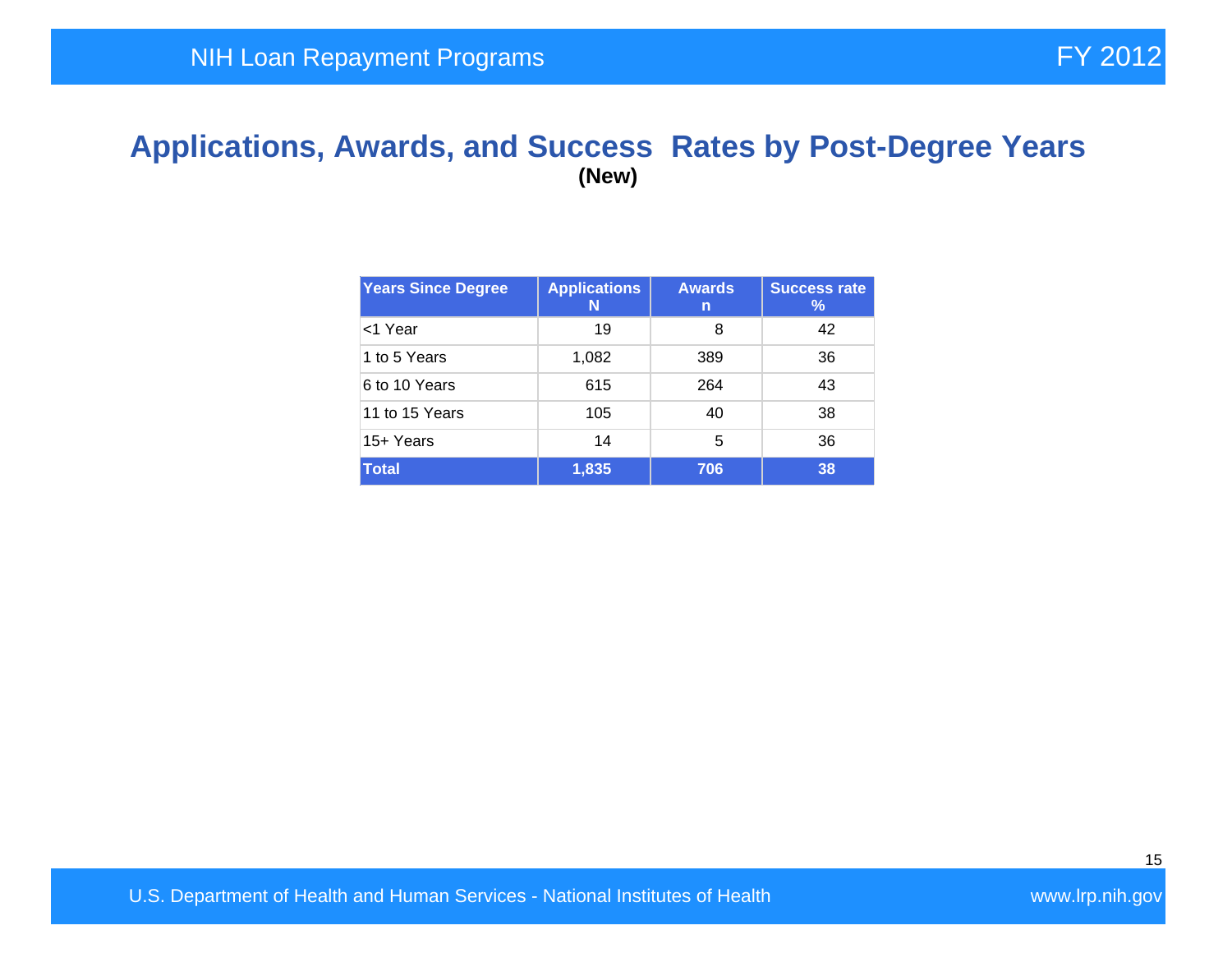#### **Applications, Awards, and Success Rates by Post-Degree Years (New)**

| <b>Years Since Degree</b> | <b>Applications</b><br>N | <b>Awards</b><br>n | <b>Success rate</b><br>$\%$ |
|---------------------------|--------------------------|--------------------|-----------------------------|
| <1 Year                   | 19                       | 8                  | 42                          |
| 1 to 5 Years              | 1,082                    | 389                | 36                          |
| 6 to 10 Years             | 615                      | 264                | 43                          |
| 11 to 15 Years            | 105                      | 40                 | 38                          |
| 15+ Years                 | 14                       | 5                  | 36                          |
| <b>Total</b>              | 1,835                    | 706                | 38                          |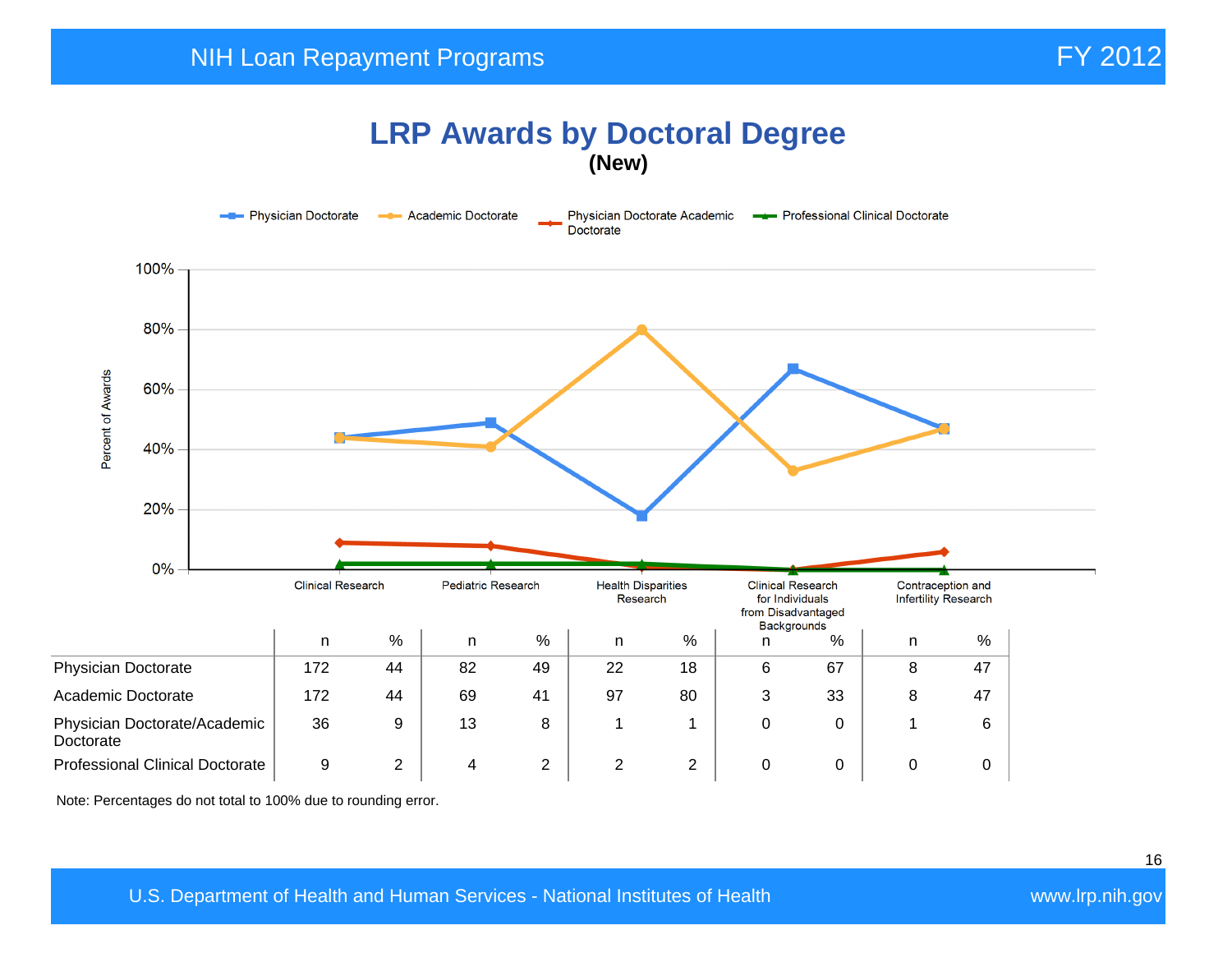#### **LRP Awards by Doctoral Degree (New)**



Note: Percentages do not total to 100% due to rounding error.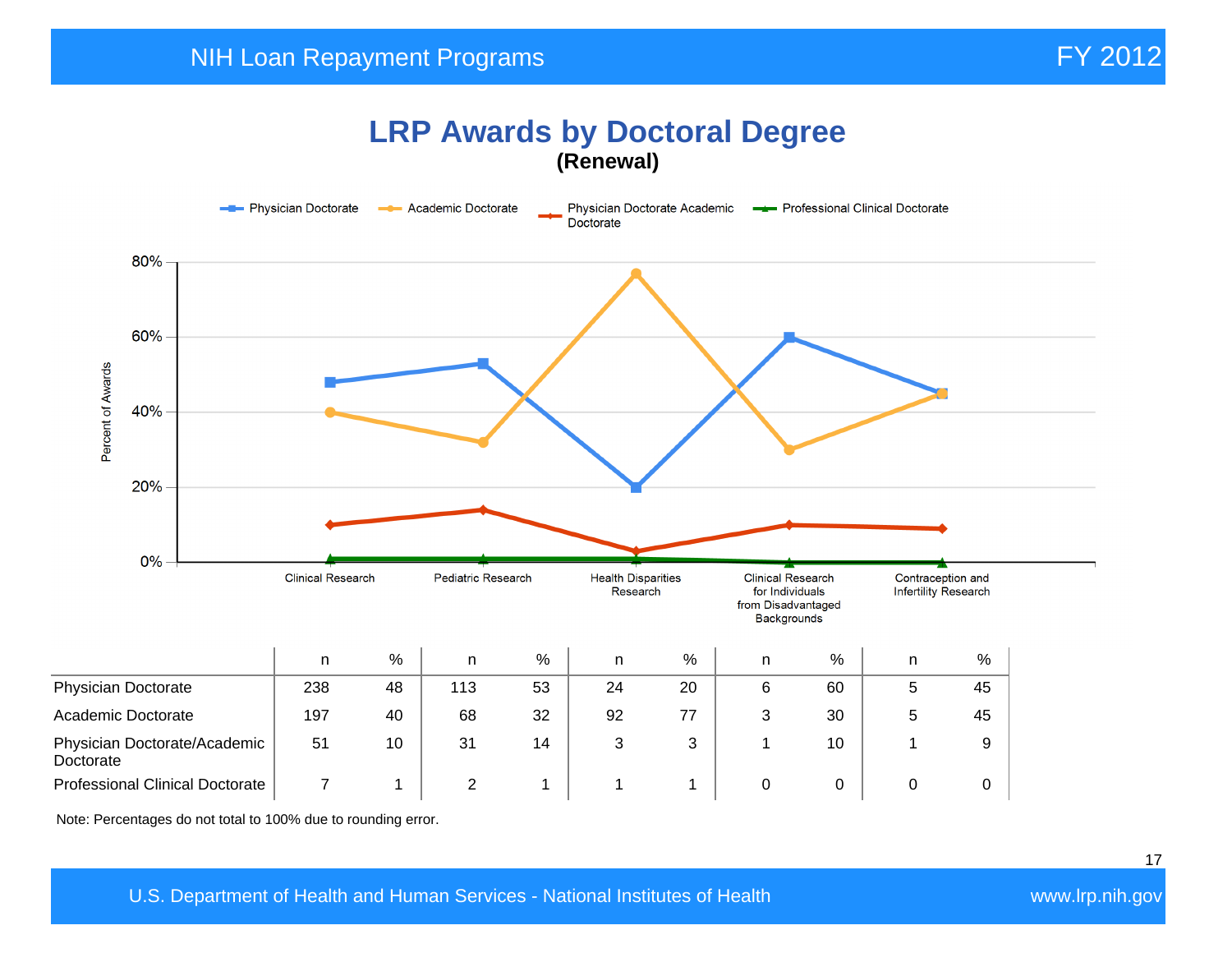## **LRP Awards by Doctoral Degree (Renewal)**



Note: Percentages do not total to 100% due to rounding error.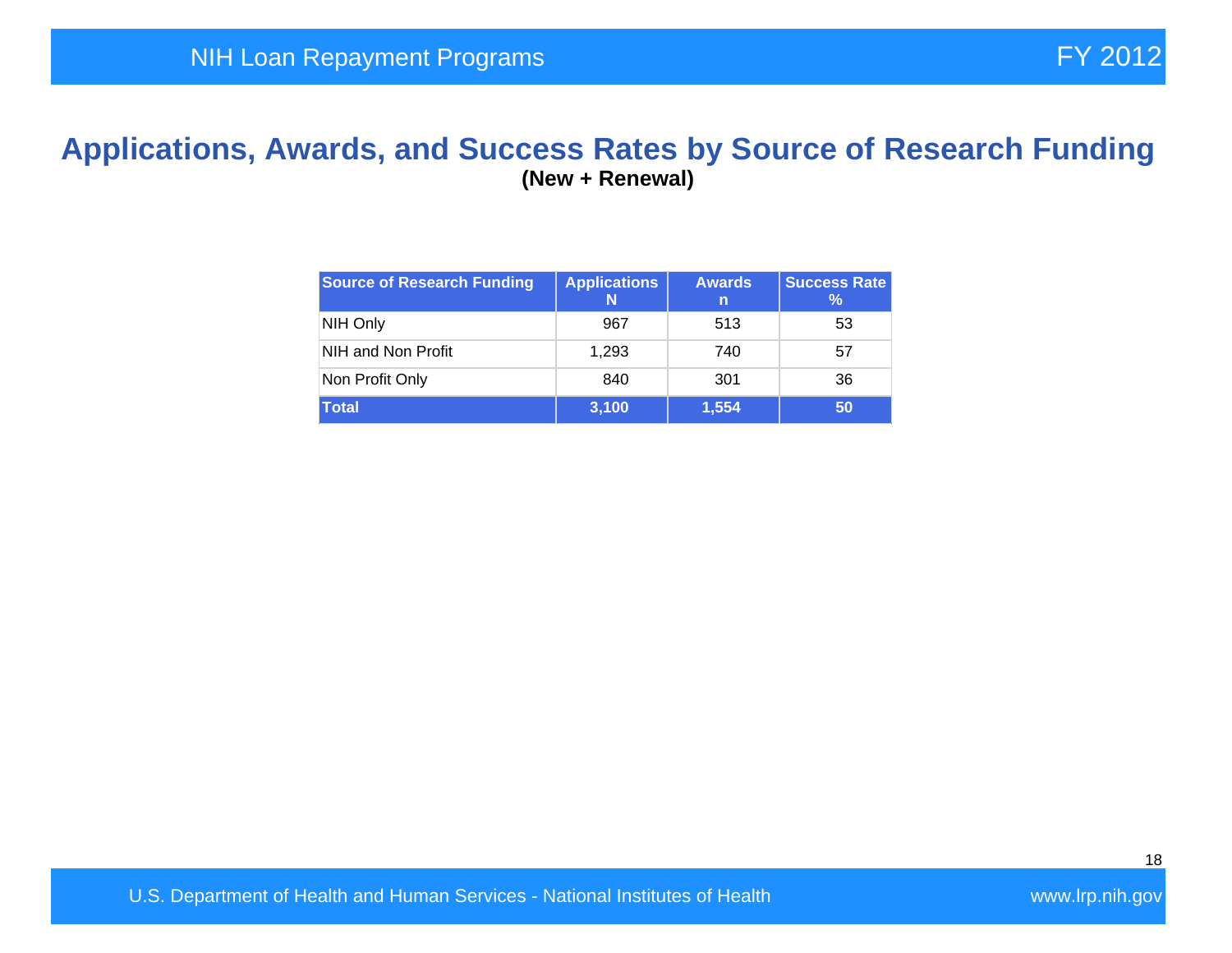#### **Applications, Awards, and Success Rates by Source of Research Funding (New + Renewal)**

| <b>Source of Research Funding</b> | <b>Applications</b><br>N | <b>Awards</b><br>'n | <b>Success Rate</b><br>℅ |
|-----------------------------------|--------------------------|---------------------|--------------------------|
| NIH Only                          | 967                      | 513                 | 53                       |
| NIH and Non Profit                | 1,293                    | 740                 | 57                       |
| Non Profit Only                   | 840                      | 301                 | 36                       |
| <b>Total</b>                      | 3,100                    | 1,554               | 50                       |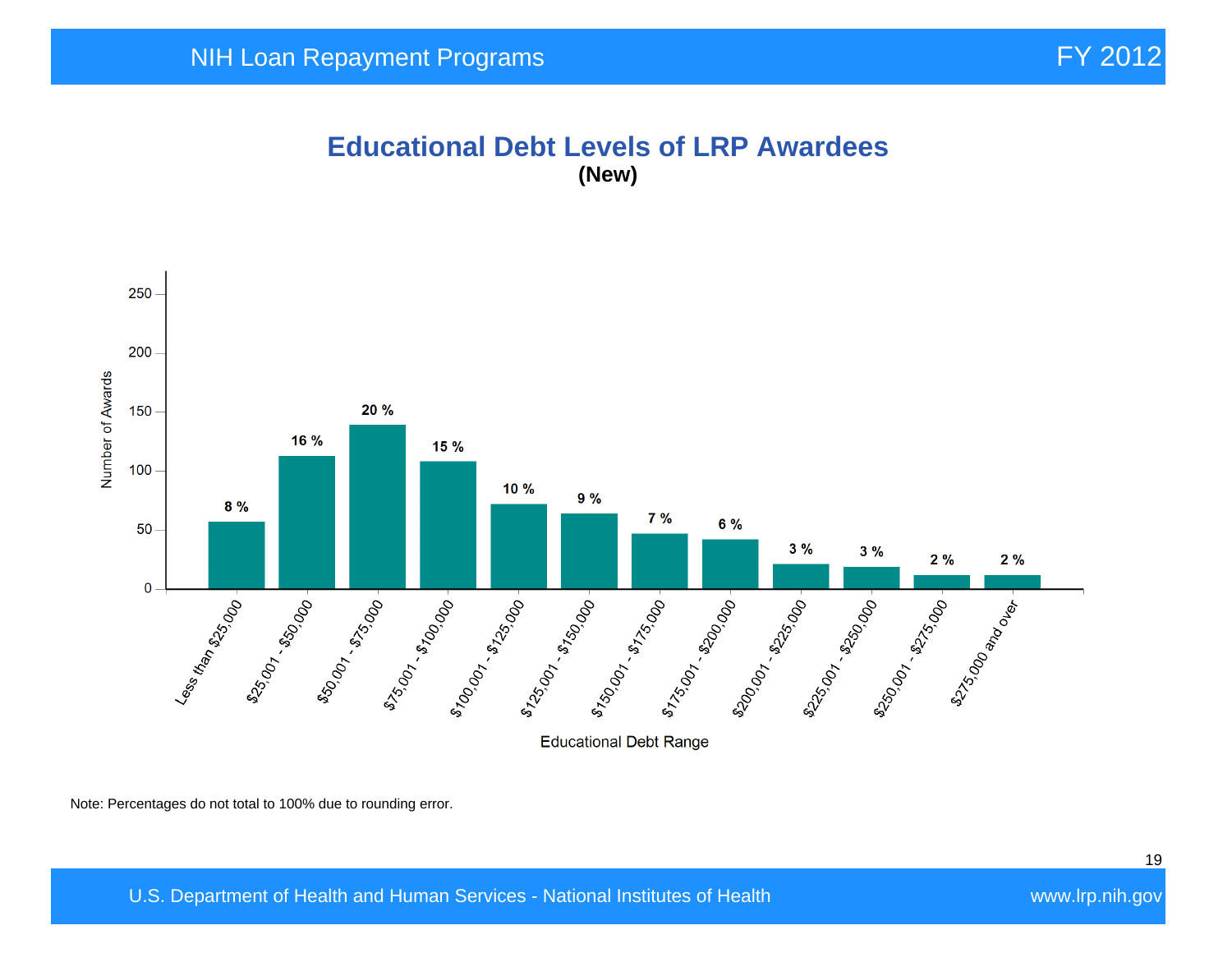#### **Educational Debt Levels of LRP Awardees (New)**



Note: Percentages do not total to 100% due to rounding error.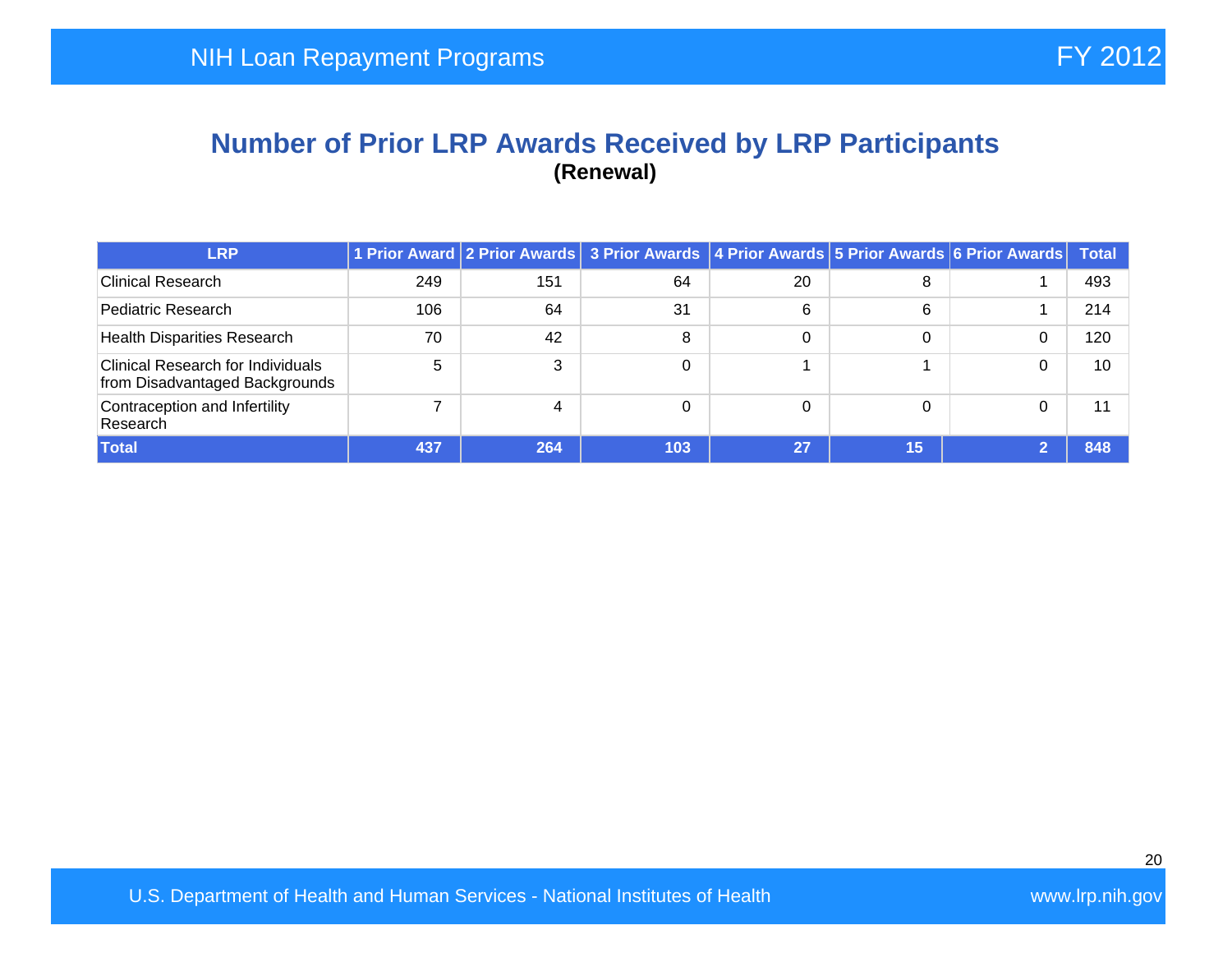#### **Number of Prior LRP Awards Received by LRP Participants (Renewal)**

| <b>LRP</b>                                                                 |     |     | 1 Prior Award 2 Prior Awards 3 Prior Awards 4 Prior Awards 5 Prior Awards 6 Prior Awards |          |    | Total |
|----------------------------------------------------------------------------|-----|-----|------------------------------------------------------------------------------------------|----------|----|-------|
| <b>Clinical Research</b>                                                   | 249 | 151 | 64                                                                                       | 20       | 8  | 493   |
| Pediatric Research                                                         | 106 | 64  | 31                                                                                       | 6        | 6  | 214   |
| <b>Health Disparities Research</b>                                         | 70  | 42  | 8                                                                                        | 0        | 0  | 120   |
| <b>Clinical Research for Individuals</b><br>from Disadvantaged Backgrounds | 5   | 3   |                                                                                          |          |    | 10    |
| Contraception and Infertility<br>Research                                  |     | 4   |                                                                                          | $\Omega$ | 0  | 11    |
| <b>Total</b>                                                               | 437 | 264 | 103                                                                                      | 27       | 15 | 848   |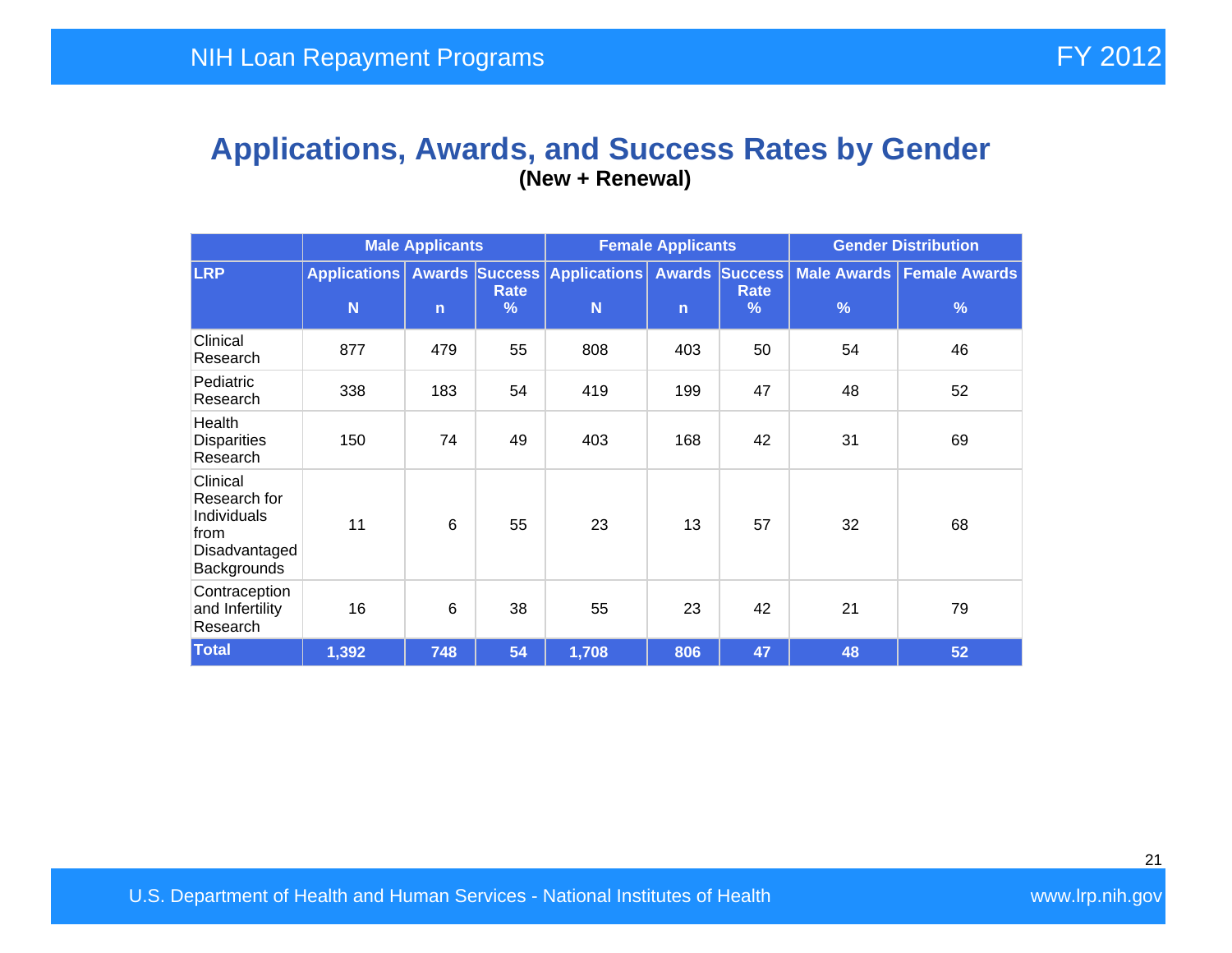#### **Applications, Awards, and Success Rates by Gender (New + Renewal)**

|                                                                                 | <b>Male Applicants</b>   |                 |                       | <b>Female Applicants</b>                |              |                                    | <b>Gender Distribution</b> |                                                |  |
|---------------------------------------------------------------------------------|--------------------------|-----------------|-----------------------|-----------------------------------------|--------------|------------------------------------|----------------------------|------------------------------------------------|--|
| <b>LRP</b>                                                                      | <b>Applications</b><br>N | $\mathsf{n}$    | Rate<br>$\frac{9}{6}$ | <b>Awards Success Applications</b><br>N | $\mathsf{n}$ | <b>Awards Success</b><br>Rate<br>% | $\frac{9}{6}$              | Male Awards   Female Awards  <br>$\frac{9}{6}$ |  |
| Clinical<br>Research                                                            | 877                      | 479             | 55                    | 808                                     | 403          | 50                                 | 54                         | 46                                             |  |
| Pediatric<br>Research                                                           | 338                      | 183             | 54                    | 419                                     | 199          | 47                                 | 48                         | 52                                             |  |
| Health<br><b>Disparities</b><br>Research                                        | 150                      | 74              | 49                    | 403                                     | 168          | 42                                 | 31                         | 69                                             |  |
| Clinical<br>Research for<br>Individuals<br>from<br>Disadvantaged<br>Backgrounds | 11                       | $6\phantom{1}6$ | 55                    | 23                                      | 13           | 57                                 | 32                         | 68                                             |  |
| Contraception<br>and Infertility<br>Research                                    | 16                       | $6\phantom{1}6$ | 38                    | 55                                      | 23           | 42                                 | 21                         | 79                                             |  |
| <b>Total</b>                                                                    | 1,392                    | 748             | 54                    | 1,708                                   | 806          | 47                                 | 48                         | 52                                             |  |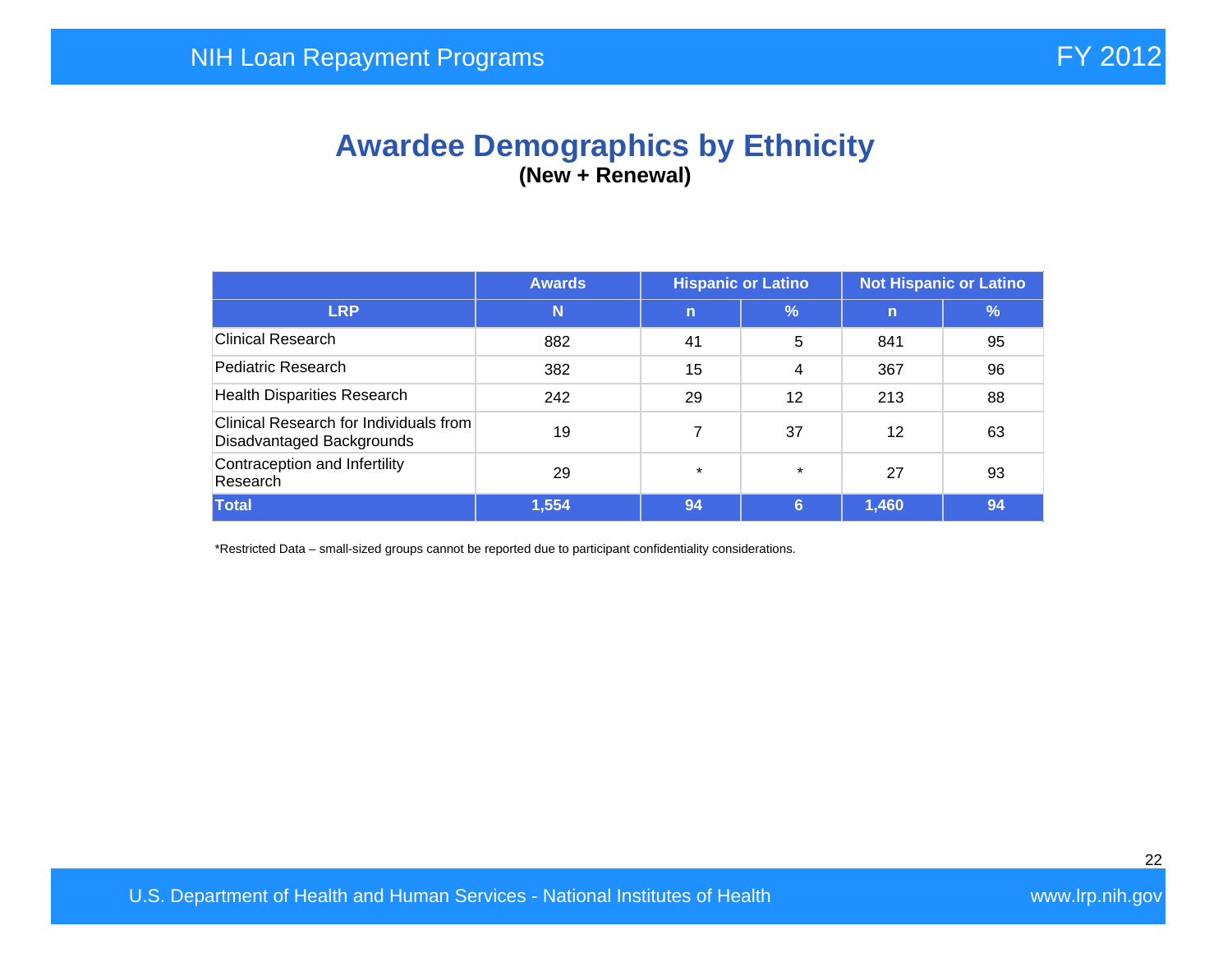## **Awardee Demographics by Ethnicity (New + Renewal)**

|                                                                     | <b>Awards</b> | <b>Hispanic or Latino</b> |               | <b>Not Hispanic or Latino</b> |               |
|---------------------------------------------------------------------|---------------|---------------------------|---------------|-------------------------------|---------------|
| <b>LRP</b>                                                          | N             | $\mathbf n$               | $\frac{9}{6}$ | $\mathsf{n}$                  | $\frac{9}{6}$ |
| <b>Clinical Research</b>                                            | 882           | 41                        | 5             | 841                           | 95            |
| Pediatric Research                                                  | 382           | 15                        | 4             | 367                           | 96            |
| <b>Health Disparities Research</b>                                  | 242           | 29                        | 12            | 213                           | 88            |
| Clinical Research for Individuals from<br>Disadvantaged Backgrounds | 19            |                           | 37            | 12                            | 63            |
| Contraception and Infertility<br>Research                           | 29            | $\star$                   | $\star$       | 27                            | 93            |
| <b>Total</b>                                                        | 1,554         | 94                        | 6             | 1,460                         | 94            |

\*Restricted Data – small-sized groups cannot be reported due to participant confidentiality considerations.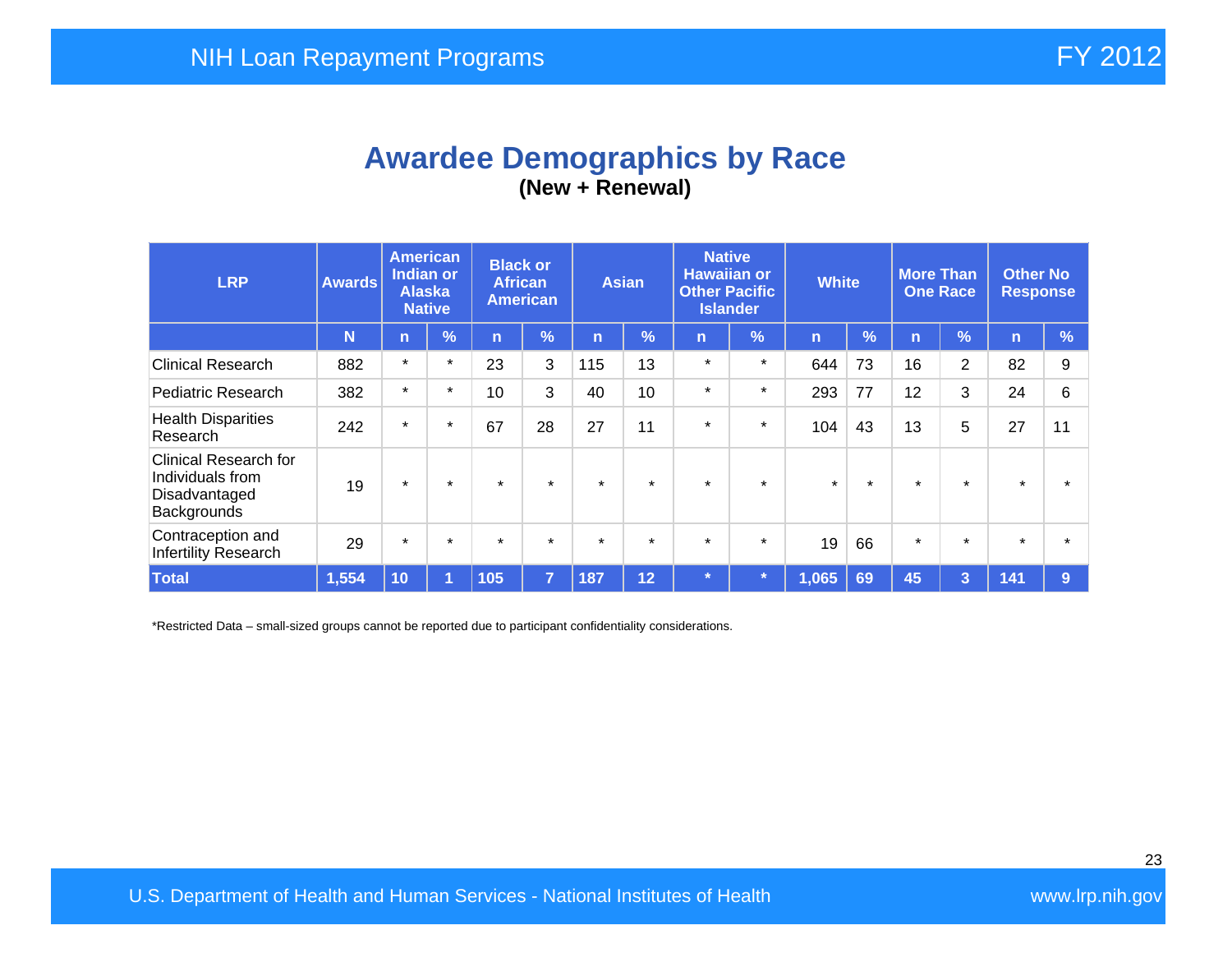## **Awardee Demographics by Race (New + Renewal)**

| <b>LRP</b>                                                                       | <b>Awards</b> | <b>American</b><br>Indian or<br><b>Alaska</b><br><b>Native</b> |            | <b>Black or</b><br><b>African</b><br><b>American</b> |                | <b>Asian</b> |               | <b>Native</b><br><b>Hawaiian or</b><br><b>Other Pacific</b><br><b>Islander</b> |            | <b>White</b>   |         | <b>More Than</b><br><b>One Race</b> |                | <b>Other No</b><br><b>Response</b> |               |
|----------------------------------------------------------------------------------|---------------|----------------------------------------------------------------|------------|------------------------------------------------------|----------------|--------------|---------------|--------------------------------------------------------------------------------|------------|----------------|---------|-------------------------------------|----------------|------------------------------------|---------------|
|                                                                                  | N             | $\overline{n}$                                                 | $\sqrt{2}$ | 'n                                                   | %              | n            | $\frac{1}{2}$ | n                                                                              | $\sqrt{2}$ | $\overline{n}$ | %       | n                                   | $\frac{9}{6}$  | n                                  | $\frac{9}{6}$ |
| <b>Clinical Research</b>                                                         | 882           | $\star$                                                        | $\star$    | 23                                                   | 3              | 115          | 13            | $\star$                                                                        | $\star$    | 644            | 73      | 16                                  | $\overline{2}$ | 82                                 | 9             |
| Pediatric Research                                                               | 382           | $\star$                                                        | $\star$    | 10                                                   | 3              | 40           | 10            | $\star$                                                                        | $\star$    | 293            | 77      | 12                                  | 3              | 24                                 | 6             |
| <b>Health Disparities</b><br>Research                                            | 242           | $\star$                                                        | $\star$    | 67                                                   | 28             | 27           | 11            | $\star$                                                                        | $\star$    | 104            | 43      | 13                                  | 5              | 27                                 | 11            |
| <b>Clinical Research for</b><br>Individuals from<br>Disadvantaged<br>Backgrounds | 19            | $\star$                                                        | $\star$    | $\star$                                              | $\star$        | $\star$      | $\star$       | $\star$                                                                        | $\star$    | $\star$        | $\star$ | $\star$                             | $\star$        | $\star$                            |               |
| Contraception and<br>Infertility Research                                        | 29            | $\star$                                                        | $\star$    | $\star$                                              | $\star$        | $\star$      | $\star$       | $\star$                                                                        | $\star$    | 19             | 66      | $\star$                             | $\star$        | $\star$                            |               |
| <b>Total</b>                                                                     | 1,554         | 10                                                             | и          | 105                                                  | $\overline{7}$ | 187          | 12            | $\star$                                                                        |            | 1,065          | 69      | 45                                  | 3              | 141                                | 9             |

\*Restricted Data – small-sized groups cannot be reported due to participant confidentiality considerations.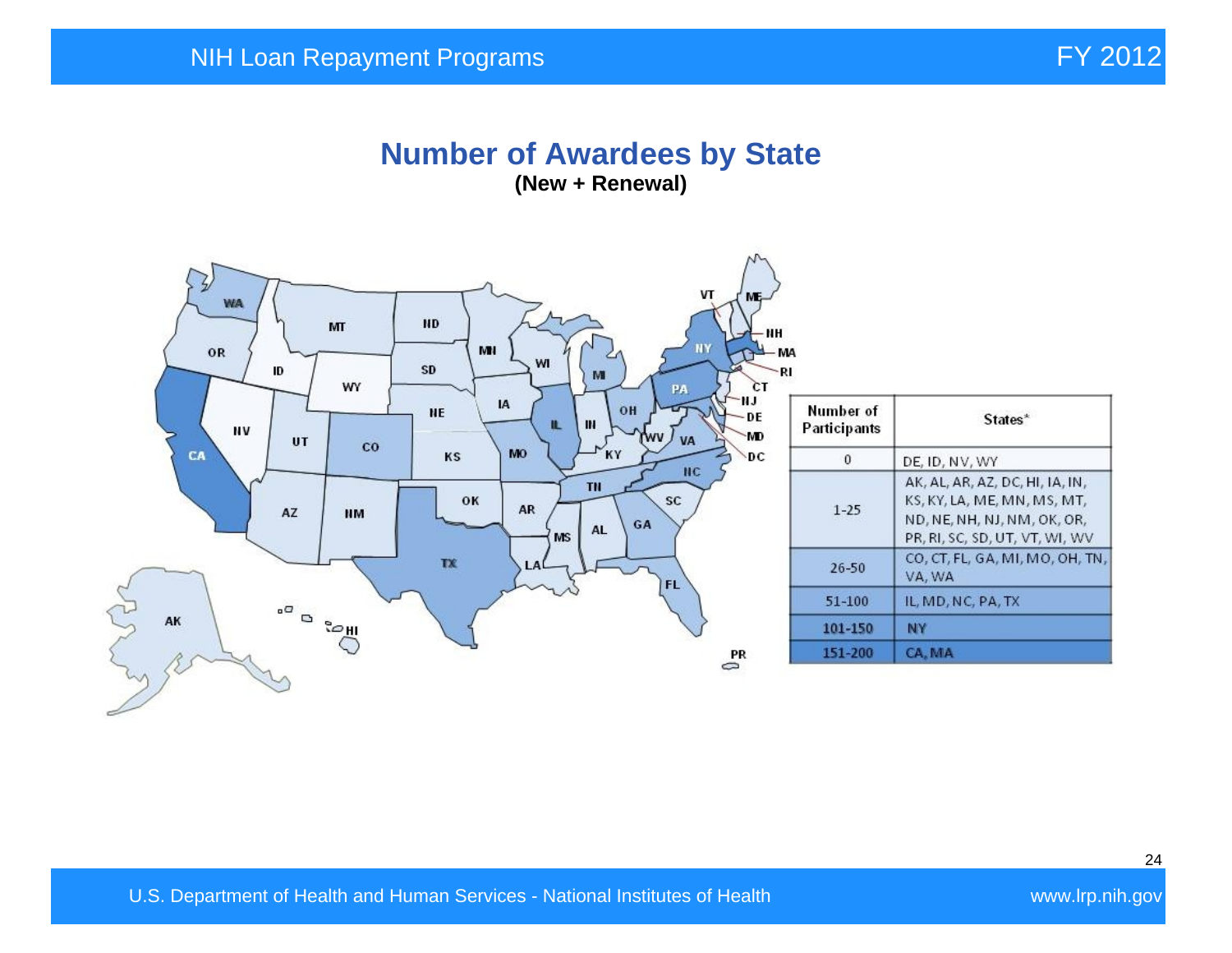#### **Number of Awardees by State (New + Renewal)**